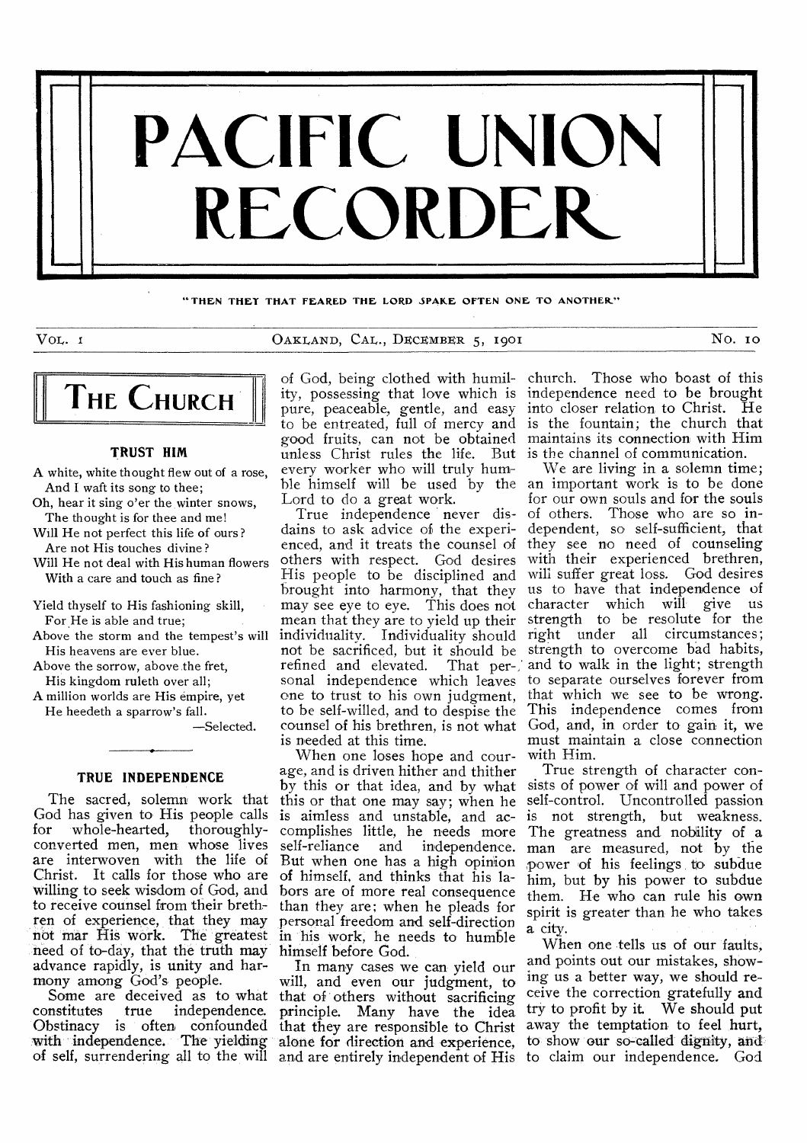

**"THEN THEY THAT FEARED THE LORD SPARE OFTEN ONE TO ANOTHER"** 

VOL. 1 CAKLAND, CAL., DECEMBER 5, 1901 NO. 10



# **TRUST HIM**

A white, white thought flew out of a rose, And I waft its song to thee;

Oh, hear it sing o'er the, winter snows, The thought is for thee and me!

Will He not perfect this life of ours ? Are not His touches divine ?

Will He not deal with His human flowers With a care and touch as fine ?

Yield thyself to His fashioning skill, For He is able and true;

Above the storm and the tempest's will His heavens are ever blue.

Above the sorrow, above the fret, His kingdom ruleth over all;

A million worlds are His empire, yet He heedeth a sparrow's fall.

—Selected.

# **TRUE INDEPENDENCE**

The sacred, solemn work that God has given to His people calls for whole-hearted, thoroughlyconverted men, men whose lives are interwoven with the life of Christ. It calls for those who are willing to seek wisdom of God, and to receive counsel from their brethren of experience, that they may not mar His work. The greatest need of to-day, that the truth may advance rapidly, is unity and harmony among God's people.

Some are deceived as to what constitutes true independence. Obstinacy is often confounded with independence. The yielding alone for direction and experience,

ity, possessing that love which is pure, peaceable, gentle, and easy to be entreated, full of mercy and good fruits, can not be obtained unless Christ rules the life. But is the channel of communication. every worker who will truly hum-Lord to do a great work.

True independence never disdains to ask advice of the experienced, and it treats the counsel of others with respect. God desires His people to be disciplined and brought into harmony, that they may see eye to eye. This does not mean that they are to yield up their not be sacrificed, but it should be refined and elevated. one to trust to his own judgment, to be self-willed, and to despise the is needed at this time.

When one loses hope and courage, and is driven hither and thither by this or that idea, and by what this or that one may say; when he is aimless and unstable, and accomplishes little, he needs more<br>self-reliance and independence. and independence. But when one has a high opinion of himself, and thinks that his labors are of more real consequence than they are; when he pleads for personal freedom and self-direction in 'his work, he needs to humble himself before God.

of self, surrendering all to the will and are entirely independent of His to claim our independence. God In many cases we can yield our will, and even our judgment, to that of others without sacrificing principle. Many have the idea that they are responsible to Christ

of God, being clothed with humil-church. Those who boast of this independence need to be brought into closer relation to Christ. He is the fountain; the church that maintains its connection with Him

ble himself will be used by the an important work is to be done individuality. Individuality should right under all circumstances; sonal independence which leaves to separate ourselves forever from counsel of his brethren, is not what God, and, in order to gain it, we We are living in a solemn time; for our own souls and for the souls of others. Those who are so independent, so self-sufficient, that they see no need of counseling with their experienced brethren, will suffer great loss. God desires us to have that independence of character which will give us strength to be resolute for the strength to overcome bad habits, That per-, and to walk in the light; strength that which we see to be wrong. This independence comes from must maintain a close connection with Him.

True strength of character consists of power of will and power of self-control. Uncontrolled passion is not strength, but weakness. The greatness and nobility of a man are measured, not by the power of his feelings to subdue him, but by his power to subdue them. He who can rule his own spirit is greater than he who takes a city.

When one tells us of our faults; and points out our mistakes, showing us a better way, we should receive the correction gratefully and try to profit by it. We should put away the temptation to feel hurt, to show our so-called dignity, and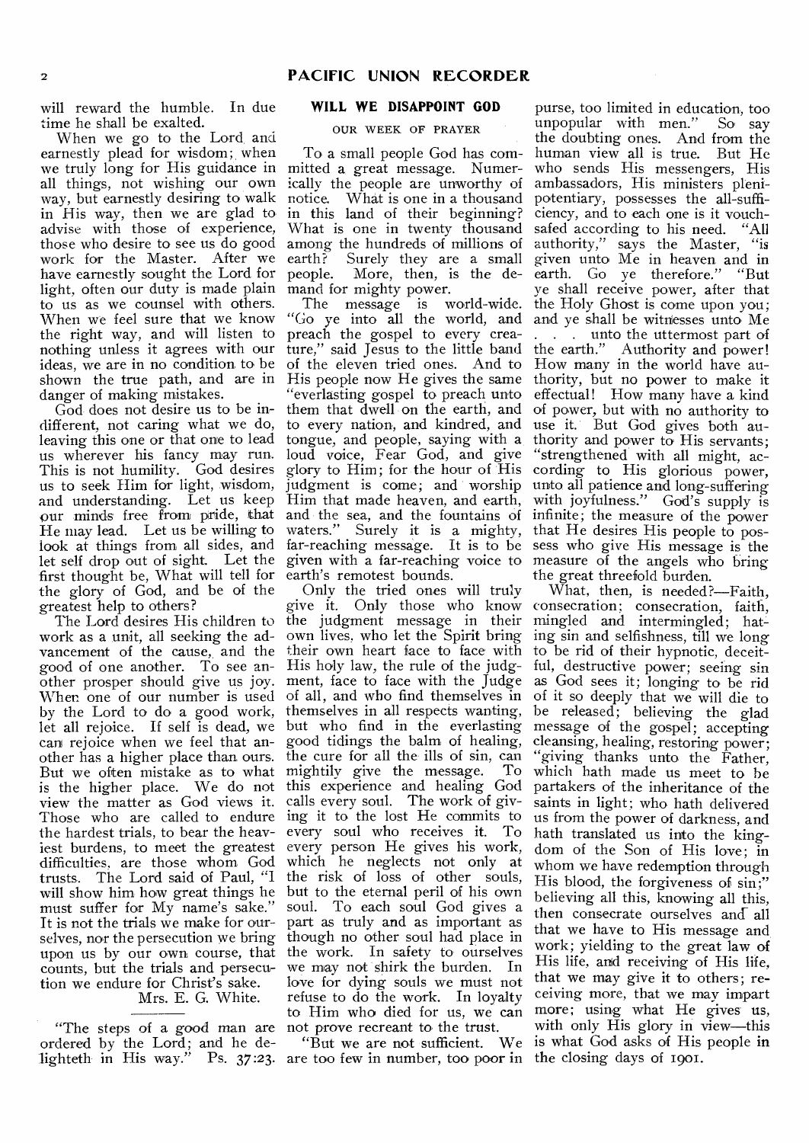will reward the humble. In due time he shall be exalted.

When we go to the Lord, and earnestly plead for wisdom; when we truly long for His guidance in mitted a great message. Numerall things, not wishing our own way, but earnestly desiring to walk in His way, then we are glad to advise with those of experience, those who desire to see us do good work for the Master. After we have earnestly sought the Lord for light, often our duty is made plain to us as we counsel with others. When we feel sure that we know the right way, and will listen to nothing unless it agrees with our ideas, we are in no condition to be shown the true path, and are in His people now He gives the same thority, but no power to make it danger of making mistakes.

different, not caring what we do, leaving this one or that one to lead us wherever his fancy may run. loud voice, Fear God, and give This is not humility. God desires us to seek Him for light, wisdom, and understanding. Let us keep Him that made heaven, and earth, our minds free from pride, that and the sea, and the fountains of infinite; the measure of the power He may lead. Let us be willing to look at things from all sides, and far-reaching message. It is to be sess who give His message is the let self drop out of sight. Let the given with a far-reaching voice to measure of the angels who bring first thought be, What will tell for earth's remotest bounds. the glory of God, and be of the greatest help to others?

work as a unit, all seeking the ad-own lives, who let the Spirit bring ing sin and selfishness, till we long vancement of the cause, and the their own heart face to face with to be rid of their hypnotic, deceitgood of one another. To see another prosper should give us joy. ment, face to face with the Judge as God sees it; longing to be rid When one of our number is used of all, and who find themselves in of it so deeply that we will die to let all rejoice. If self is dead, we but who find in the everlasting message of the gospel; accepting can rejoice when we feel that an-good tidings the balm of healing, other has a higher place than ours. But we often mistake as to what mightily give the message. To is the higher place. We do not view the matter as God views it. Those who are called to endure the hardest trials, to bear the heaviest burdens, to meet the greatest difficulties, are those whom God trusts. The Lord said of Paul, "I will show him how great things he must suffer for My name's sake." It is not the trials we make for ourselves, nor the persecution we bring upon us by our own course, that counts, but the trials and persecution we endure for Christ's sake. Mrs. E. G. White.

"The steps of a good man are not prove recreant to the trust. ordered by the Lord; and he delighteth in His way." Ps. 37:23.

# **WILL WE DISAPPOINT GOD**

# OUR WEEK OF PRAYER

To a small people God has comically the people are unworthy of notice. What is one in a thousand in this land of their beginning? What is one in twenty thousand among the hundreds of millions of earth? Surely they are a small people. More, then, is the demand for mighty power.

God does not desire us to be in-them that dwell on the earth, and The message is world-wide. "Go ye into all the world, and preach the gospel to every creature," said Jesus to the little band the earth." Authority and power! of the eleven tried ones. And to How many in the world have au-"everlasting gospel to preach unto to every nation, and kindred, and use it. But God gives both autongue, and people, saying with a thority and power to His servants; glory to Him; for the hour of His judgment is come; and worship waters." Surely it is a mighty, that He desires His people to pos-

The Lord desires His children to the judgment message in their mingled and intermingled; hat by the Lord to do a good work, themselves in all respects wanting, be released; believing the glad Only the tried ones will truly give it. Only those who know consecration; consecration, faith, His holy law, the rule of the judgthe cure for all the ills of sin, can<br>mightily give the message. To this experience and healing God calls every soul. The work of giving it to the lost He commits to every soul who receives it. To every person He gives his work, which he neglects not only at the risk of loss of other souls, but to the eternal peril of his own soul. To each soul God gives a part as truly and as important as though no other soul had place in the work. In safety to ourselves we may not shirk the burden. In love for dying souls we must not refuse to do the work. In loyalty to Him who died for us, we can

> "But we are not sufficient. We are too few in number, too poor in the closing days of 1901.

purse, too limited in education, too<br>unpopular with men." So say unpopular with men." the doubting ones. And from the human view all is true. But He who sends His messengers, His ambassadors, His ministers plenipotentiary, possesses the all-sufficiency, and to each one is it vouchsafed according to his need. "All authority," says the Master, "is given unto Me in heaven and in earth. Go ye therefore." "But ye shall receive power, after that the Holy Ghost is come upon you; and ye shall be witnesses unto Me . . . unto the uttermost part of effectual! How many have a kind of power, but with no authority to "strengthened with all might, according to His glorious power, unto all patience and long-suffering with joyfulness." God's supply is the great threefold burden.

What, then, is needed?—Faith, ful, destructive power; seeing sin cleansing, healing, restoring power; "giving thanks unto the Father, which hath made us meet to be partakers of the inheritance of the saints in light; who hath delivered us from the power of darkness, and hath translated us into the kingdom of the Son of His love; in whom we have redemption through His blood, the forgiveness of sin;" believing all this, knowing all this, then consecrate ourselves and-all that we have to His message and work; yielding to the great law of His life, and receiving of His life, that we may give it to others; receiving more, that we may impart more; using what He gives us, with only His glory in view—this "But we are not sufficient. We is what God asks of His people in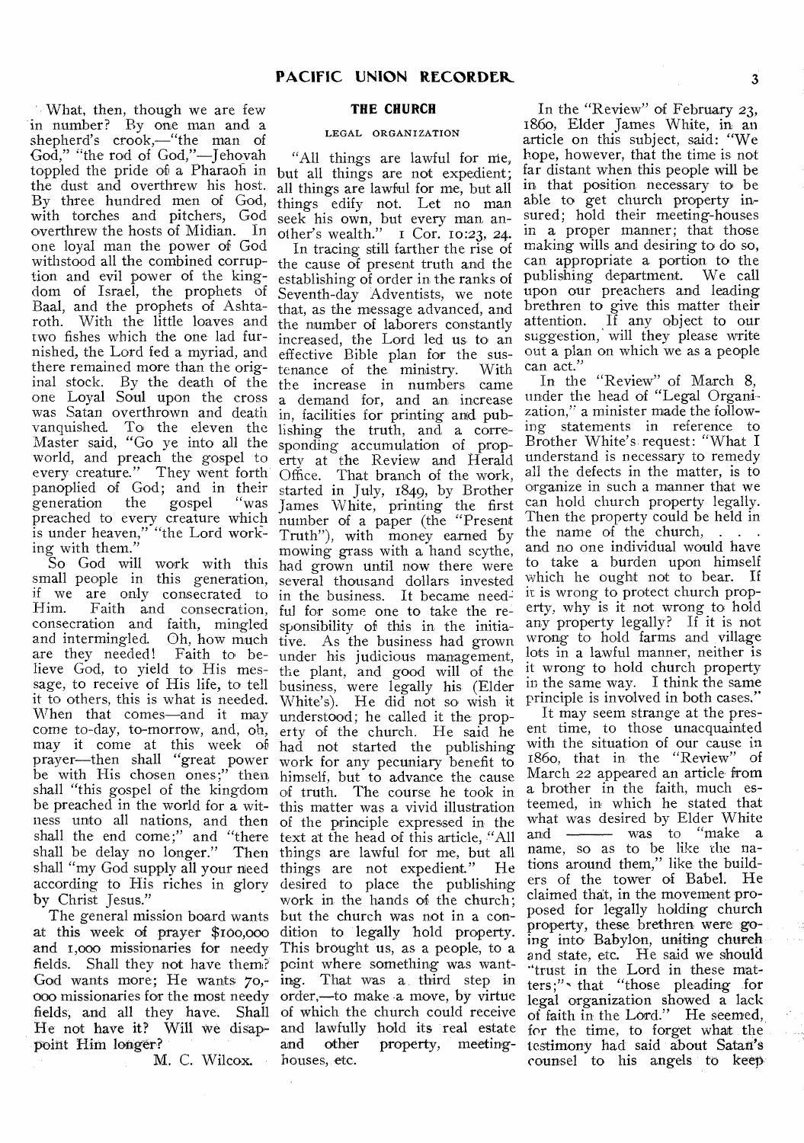- • What, then, though we are few in number? By one man and a shepherd's crook,—"the man of God," "the rod of God,"—Jehovah toppled the pride of a Pharaoh in the dust and overthrew his host. By three hundred men of God, with torches and pitchers, God overthrew the hosts of Midian. In one loyal man the power of God withstood all the combined corruption and evil power of the kingdom of Israel, the prophets of Baal, and the prophets of Ashtaroth. With the little loaves and two fishes which the one lad furnished, the Lord fed a myriad, and there remained more than the original stock. By the death of the one Loyal Soul upon the cross was Satan overthrown and death vanquished. To the eleven the Master said, "Go ye into all the world, and preach the gospel to every creature." They went forth panoplied of God; and in their generation the gospel "was preached to every creature which is under heaven," "the Lord working with them."

So God will work with this small people in this generation, if we are only consecrated to Faith and consecration, consecration and faith, mingled and intermingled. Oh, how much and intermingled. Oh, how much tive. As the business had grown are they needed! Faith to be- under his judicious management, lieve God, to yield to His message, to receive of His life, to tell it to others, this is what is needed. When that comes—and it may understood; he called it the propcome to-day, to-morrow, and, oh, may it come at this week of prayer—then shall "great power be with His chosen ones;" then shall "this gospel of the kingdom of truth. The course he took in be preached in the world for a wit-this matter was a vivid illustration ness unto all nations, and then of the principle expressed in the shall the end come;" and "there shall be delay no longer." Then shall "my God supply all your need things are not expedient." He according to His riches in glory by Christ Jesus."

The general mission board wants at this week of prayer SI0o,o0o and 1,000 missionaries for needy fields. Shall they not have them? God wants more; He wants 70,- '000 missionaries for the most needy fields, and all they have. Shall He not have it? Will we disappoint Him longer?

M. C. Wilcox.

# **THE CHURCH**

#### LEGAL ORGANIZATION

"All things are lawful for nie, but all things are not expedient; all things are lawful for me, but all things edify not. Let no man seek his own, but every man another's wealth."  $\overline{1}$  Cor. 10:23, 24.

In tracing still farther the rise of the cause of present truth and the establishing of order in the ranks of Seventh-day Adventists, we note that, as the message advanced, and the number of laborers constantly increased, the Lord led us to an effective Bible plan for the sus-<br>tenance of the ministry. With tenance of the ministry. the increase in numbers came a demand for, and an increase in, facilities for printing and publishing the truth, and a corresponding accumulation of property at the Review and Herald Office. That branch of the work, started in July, 1849, by Brother James White, printing the first number of a paper (the "Present Truth"), with money earned by mowing grass with a hand scythe, had grown until now there were several thousand dollars invested in the business. It became need: ful for some one to take the responsibility of this in the initiaunder his judicious management, the plant, and good will of the business, were legally his (Elder White's). He did not so wish it erty of the church. He said he had not started the publishing work for any pecuniary benefit to himself, but to advance the cause text at the head of this article, "All things are lawful for me, but all desired to place the publishing work in the hands of the church: but the church was not in a condition to legally hold property. This brought us, as a people, to a point where something was wanting. That was a. third step in order,—to make a move, by virtue of which the church could receive and lawfully hold its real estate<br>and other property, meetingproperty, meetinghouses, etc.

In the "Review" of February 23, 186o, Elder James White, in an article on this subject, said: "We hope, however, that the time is not far distant when this people will be in that position. necessary to be able to get church property insured; hold their meeting-houses in a proper manner; that those making wills and desiring to do so, can appropriate a portion to the publishing department. We call upon our preachers and leading brethren to give this matter their attention. If any object to our suggestion, will they please write out a plan on which we as a people can act."

In the "Review" of March 8, under the head of "Legal Organization," a minister made the following statements in reference to Brother White's. request: "What I understand is necessary to remedy all the defects in the matter, is to organize in such a manner that we can hold church property legally. Then the property could be held in the name of the church, and no one individual would have to take a burden upon himself which he ought not to bear. If it is wrong to protect church property, why is it not wrong to hold any property legally? If it is not wrong to hold farms and village lots in a lawful manner, neither is it wrong to hold church property in the same way. I think the same principle is involved in both cases."

It may seem strange at the present time, to those unacquainted with the situation of our cause in 186o, that in the "Review" of March 22 appeared an article from a brother in the faith, much esteemed, in which he stated that what was desired by Elder White and <u>was</u> to "make a name, so as to be like the nations around them," like the builders of the tower of Babel. He claimed that, in the movement proposed for legally holding church property, these brethren were going into Babylon, uniting church and state, etc. He said we should "trust in the Lord in these mat-<br>ters;" that "those pleading for legal organization showed a lack of faith in the Lord." He seemed, for the time, to forget what the testimony had said about Satan's counsel to his angels to keep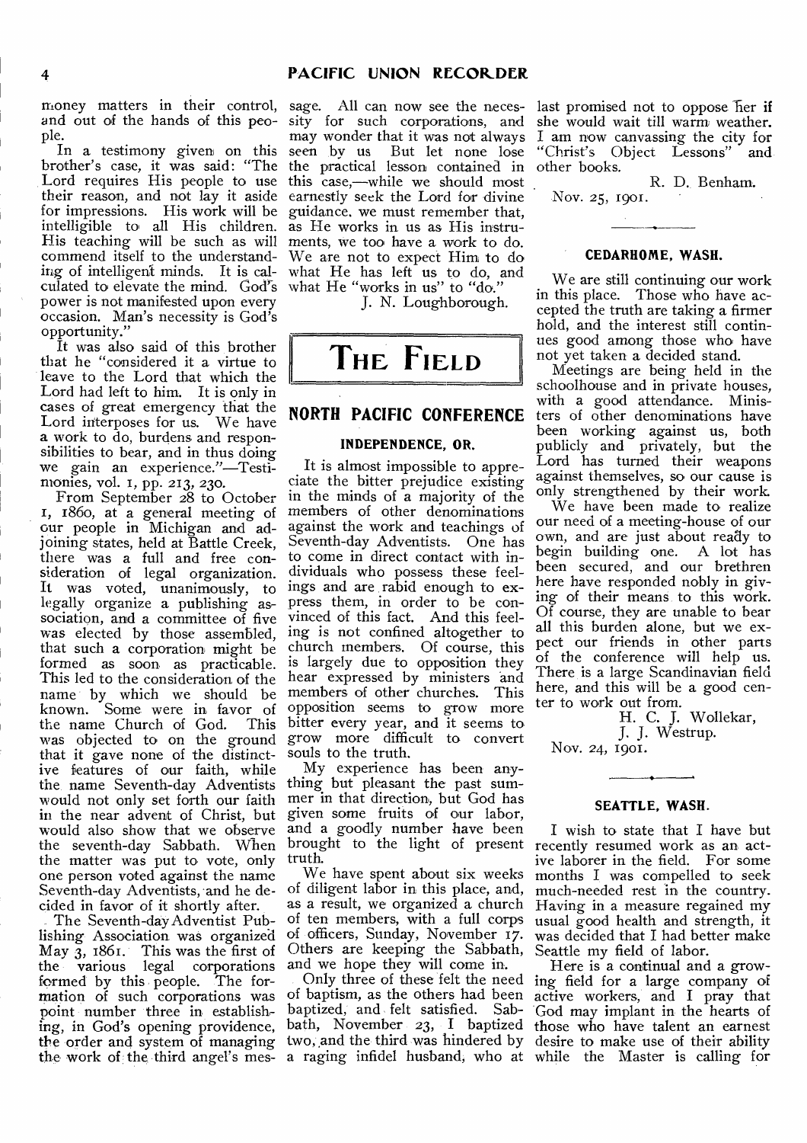and out of the hands of this people.

In a testimony given on this brother's case, it was said: "The Lord requires His people to use their reason, and not lay it aside for impressions. His work will be intelligible to all His children. as He works in us as His instru-His teaching will be such as will ments, we too have a work to do. commend itself to the understanding of intelligent minds. It is calculated to elevate the mind. God's power is not manifested upon every occasion. Man's necessity is God's opportunity."

It was also said of this brother that he "considered it a virtue to leave to the Lord that which the Lord had left to him. It is only in cases of great emergency that the Lord interposes for us. We have a work to do, burdens and responsibilities to bear, and in thus doing we gain an experience."—Testimonies, vol. I, pp. 213, 230.

From September 28 to October 1, 1860, at a general meeting of our people in Michigan and adjoining states, held at Battle Creek, there was a full and free consideration of legal organization. It was voted, unanimously, to legally organize a publishing association, and a committee of five was elected by those assembled, that such a corporation might be formed as soon as practicable. This led to the consideration of the name by which we should be known. Some were in favor of the name Church of God. This was objected to on the ground that it gave none of the distinctive features of our faith, while the name Seventh-day Adventists would not only set forth our faith in the near advent of Christ, but would also show that we observe the seventh-day Sabbath. When the matter was put to vote, only one person voted against the name Seventh-day Adventists, and he decided in favor of it shortly after.

The Seventh-day Adventist Publishing Association was organized May 3, 1861. This was the first of the various legal corporations formed by this people. The formation of such corporations was point number three in establishing, in God's opening providence, the order and system of managing the work of the third angel's mes-

money matters in their control, sage. All can now see the necessity for such corporations, and may wonder that it was not always seen by us But let none lose the practical lesson contained in this case,—while we should most earnestly seek the Lord for divine guidance. we must remember that, We are not to expect Him to do what He has left us to do, and what He "works in us" to "do."

J. N. Loughborough.



# **NORTH PACIFIC CONFERENCE**

# **INDEPENDENCE, OR.**

It is almost impossible to appreciate the bitter prejudice existing in the minds of a majority of the members of other denominations against the work and teachings of Seventh-day Adventists. One has to come in direct contact with individuals who possess these feelings and are rabid enough to express them, in order to be convinced of this fact. And this feeling is not confined altogether to church members. Of course, this is largely due to opposition they hear expressed by ministers and members of other churches. This opposition seems to grow more bitter every year, and it seems to grow more difficult to convert souls to the truth.

My experience has been anything but pleasant the past summer in that direction, but God has given some fruits of our labor, and a goodly number have been brought to the light of present recently resumed work as an acttruth.

We have spent about six weeks of diligent labor in this place, and, Others are keeping the Sabbath, Seattle my field of labor. and we hope they will come in.

Only three of these felt the need of baptism, as the others had been

last promised not to oppose her if she would wait till warm weather. I am now canvassing the city for<br>"Christ's Obiect Lessons" and "Christ's Object Lessons" other books.

R. D. Benham. Nov. 25, 1901.

#### **CEDARHOME, WASH.**

We are still continuing our work in this place. Those who have accepted the truth are taking a firmer hold, and the interest still continues good among those who have not yet taken a decided stand.

Meetings are being held in the schoolhouse and in private houses, with a good attendance. Ministers of other denominations have been working against us, both publicly and privately, but the Lord has turned their weapons against themselves, so our cause is only strengthened by their work.

We have been made to realize our need of a meeting-house of our own, and are just about ready to begin building one. A lot has been secured, and our brethren here have responded nobly in giving of their means to this work. Of course, they are unable to bear all this burden alone, but we expect our friends in other parts of the conference will help us. There is a large Scandinavian field here, and this will be a good center to work out from.

H. C. J. Wollekar,

J. J. Westrup.

Nov. 24, 1901.

#### **SEATTLE, WASH.**

as a result, we organized a church Having in a measure regained my of ten members, with a full corps usual good health and strength, it of officers, Sunday, November 17. was decided that I had better make I wish to state that I have but ive laborer in the field. For some months I was compelled to seek much-needed rest in the country.

baptized, and felt satisfied. Sab-God may implant in the hearts of bath, November 23, I baptized those who have talent an earnest two, and the third was hindered by desire to make use of their ability a raging infidel husband, who at while the Master is calling for Here is a continual and a growing field for a large company of active workers, and I pray that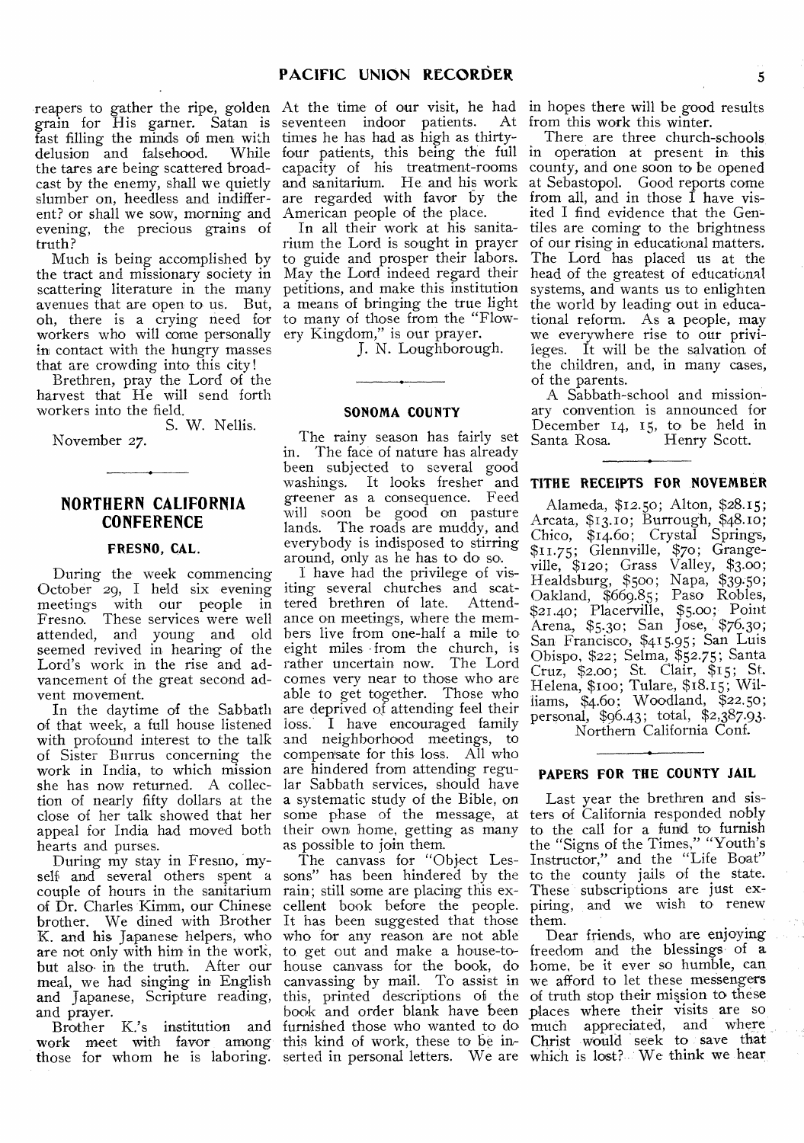reapers to gather the ripe, golden grain for His garner. Satan is fast filling the minds of men with delusion and falsehood. While the tares are being scattered broadcast by the enemy, shall we quietly slumber on, heedless and indifferent? or shall we sow, morning and evening, the precious grains of truth?

Much is being accomplished by the tract and missionary society in May the Lord indeed regard their scattering literature in the many avenues that are open to us. But, oh, there is a crying need for workers who will come personally in contact with the hungry masses that are crowding into this city!

Brethren, pray the Lord of the harvest that He will send forth workers into the field.

S. W. Nellis. November 27.

# **NORTHERN CALIFORNIA CONFERENCE**

# **FRESNO, CAL.**

During the week commencing October 29, I held six evening meetings with our people in Fresno. These services were well attended, and young and old seemed revived in hearing of the Lord's work in the rise and advancement of the great second advent movement.

In the daytime of the Sabbath of that week, a full house listened with profound interest to the talk of Sister Burrus concerning the work in India, to which mission she has now returned. A collection of nearly fifty dollars at the close of her talk showed that her appeal for India had moved both hearts and purses.

During my stay in Fresno, mycouple of hours in the sanitarium of Dr. Charles Kimm, our Chinese brother. We dined with Brother K. and his Japanese helpers, who are not only with him in the work, but also,in the truth. After our meal, we had singing in English and Japanese, Scripture reading, and prayer.

those for whom he is laboring. serted in personal letters. We are which is lost? We think we hear

At the time of our visit, he had seventeen indoor patients. At times he has had as high as thirtyfour patients, this being the full capacity of his treatment-rooms and sanitarium. He and his work are regarded with favor by the American people of the place.

In all their work at his sanitarium the Lord is sought in prayer to guide and prosper their labors. petitions, and make this institution a means of bringing the true light to many of those from the "Flowery Kingdom," is our prayer.

J. N. Loughborough.

#### **SONOMA COUNTY**

The rainy season has fairly set in. The face of nature has already been subjected to several good washings. It looks fresher and **TITHE RECEIPTS FOR NOVEMBER** greener as a consequence. Feed will soon be good on pasture lands. The roads are muddy, and everybody is indisposed to stirring around, only as he has to do so.

I have had the privilege of visiting several churches and scattered brethren of late. Attendance on meetings, where the members live from one-half a mile to eight miles • from the church, is rather uncertain now. The Lord comes very near to those who are able to get together. Those who are deprived of attending feel their loss. I have encouraged family and neighborhood meetings, to compensate for this loss. All who are hindered from attending regular Sabbath services, should have a systematic study of the Bible, on some phase of the message, at their own home, getting as many as possible to join them.

self and several others spent a sons" has been hindered by the to the county jails of the state. Brother K.'s institution and furnished those who wanted to do, much appreciated, and where work meet with favor among this kind of work, these to be in- Christ would seek to save that rain; still some are placing this ex-These" subscriptions are just excellent book before the people. piring, and we wish to renew It has been suggested that those them. who for any reason are not able to. get out and make a house-to-freedom and the blessings of a house canvass for the book, do home, be it ever so humble, can house canvass for the book, do home, be it ever so humble, can canvassing by mail. To assist in we afford to let these messengers this, printed descriptions of the book and order blank have been

in hopes there will be good results from this work this winter.

There are three church-schools in operation at present in this county, and one soon to be opened at Sebastopol. Good reports come from all, and in those  $\hat{I}$  have visited I find evidence that the Gentiles are coming to the brightness of our rising in educational matters. The Lord has placed us at the head of the greatest of educational systems, and wants us to enlighten the world by leading out in educational reform. As a people, may we everywhere rise to our privileges. It will be the salvation of the children, and, in many cases, of the parents.

A Sabbath-school and missionary convention is announced for December 14, 15, to be held in<br>Santa Rosa. Henry Scott. Henry Scott.

Alameda, \$12.50; Alton, \$28.15; Arcata, \$13.10; Burrough, \$48.10; Chico, \$14.60; Crystal Springs, \$11.75; Glennville, \$70; Grangeville, \$120; Grass Valley, \$3.00; Healdsburg, \$500; Napa, \$39.50; Oakland, \$669.85; Paso Robles, \$21.40; Placerville, \$5.0o; Point Arena, \$5.3o; San Jose, \$76.30; San Francisco, \$415.95; San Luis Obispo, \$22; Selma, \$52.75; Santa Cruz, \$2.00; St. Clair, \$15; St. Helena, \$ **00 ;** Tulare, \$18.15; Williams, \$4.60; Woodland, \$22.50; personal, \$96.43; total, \$2,387.93-

Northern California Conf.

### **PAPERS FOR THE COUNTY JAIL**

The canvass for "Object Les-Instructor," and the "Life Boat" Last year the brethren and sisters of California responded nobly to the call for a fund to furnish the "Signs of the Times," "Youth's

> Dear friends, who are enjoying of truth stop their mission to these places where their visits are so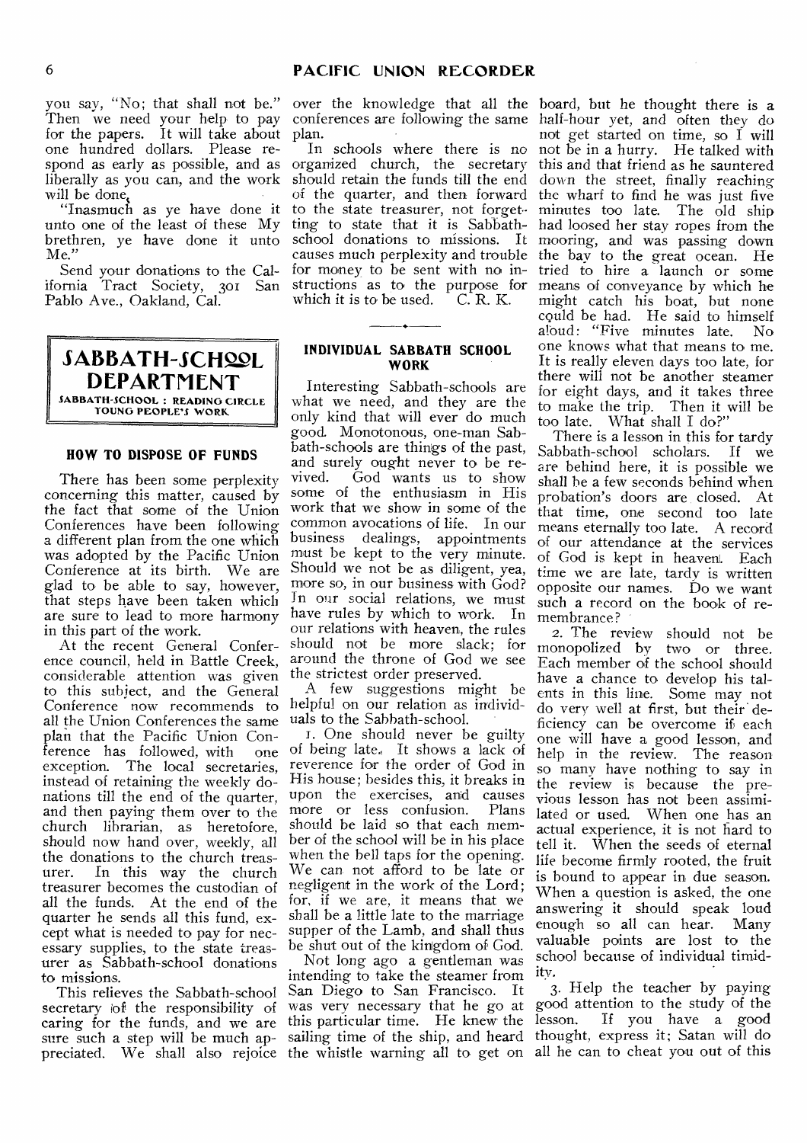you say, "No; that shall not be." Then we need your help to pay for the papers. It will take about plan. one hundred dollars. Please respond as early as possible, and as organized church, the secretary liberally as you can, and the work should retain the funds till the end will be done,

unto one of the least of these My brethren, ye have done it unto Me."

Send your donations to the California Tract Society, 301 San Pablo Ave., Oakland, Cal.

SABBATH-SCHOOL **DEPARTMENT SABBATH-SCHOOL : READING CIRCLE YOUNG PEOPLE'S WORK** 

# **HOW TO DISPOSE OF FUNDS**

There has been some perplexity concerning this matter, caused by the fact that some of the Union Conferences have been following a different plan from the one which was adopted by the Pacific Union Conference at its birth. We are glad to be able to say, however, that steps have been taken which are sure to lead to more harmony in this part of the work.

At the recent General Conference council, held in Battle Creek, considerable attention was given to this subject, and the General Conference now recommends to all the Union Conferences the same plan that the Pacific Union Con-<br>ference has followed with one ference has followed, with<br>exception. The local secre The local secretaries, instead of retaining the weekly donations till the end of the quarter, and then paying them over to the church librarian, as heretofore, should now hand over, weekly, all the donations to the church treas-<br>urer. In this way the church In this way the church treasurer becomes the custodian of all the funds. At the end of the quarter he sends all this fund, except what is needed to pay for necessary supplies, to the state treasurer as Sabbath-school donations to missions.

This relieves the Sabbath-school secretary iof the responsibility of caring for the funds, and we are sure such a step will be much appreciated. We shall also rejoice the whistle warning all to get on

over the knowledge that all the board, but he thought there is a conferences are following the same

"Inasmuch as ye have done it to the state treasurer, not forget-In schools where there is no of the quarter, and then forward ting to state that it is Sabbathschool donations to missions. It causes much perplexity and trouble for money to be sent with no instructions as to the purpose for which it is to be used.  $C.R. K.$ 

### **INDIVIDUAL SABBATH SCHOOL WORK**

Interesting Sabbath-schools are what we need, and they are the only kind that will ever do much good. Monotonous, one-man Sabbath-schools are things of the past, and surely ought never to be re-<br>vived. God wants us to show God wants us to show some of the enthusiasm in His work that we show in some of the common avocations of life. In our<br>business dealings, appointments dealings, appointments must be kept to the very minute. Should we not be as diligent, yea, more so, in our business with God? In our social relations, we must have rules by which to work. In our relations with heaven, the rules should not be more slack; for around the throne of God we see the strictest order preserved.

A few suggestions might be helpful on our relation as individuals to the Sabbath-school.

1. One should never be guilty of being late., It shows a lack of reverence for the order of God in His house; besides this, it breaks in upon the exercises, and causes<br>more or less confusion. Plans more or less confusion. should be laid so that each member of the school will be in his place when the bell taps for the opening. We can. not afford to be late or negligent in the work of the Lord; for, if we are, it means that we shall be a little late to the marriage supper of the Lamb, and shall thus be shut out of the kingdom of God.

Not long ago a gentleman was intending to take the steamer from San Diego to San Francisco. It was very necessary that he go at this particular time. He knew the sailing time of the ship, and heard

half-hour yet, and often they do not get started on time, so I will not be in a hurry. He talked with this and that friend as he sauntered down the street, finally reaching the wharf to find he was just five minutes too late. The old ship had loosed her stay ropes from the mooring, and was passing down the bay to the great ocean. He tried to hire a launch or some means of conveyance by which he might catch his boat, hut none could be had. He said to himself aloud: "Five minutes late. No one knows what that means to me. It is really eleven days too late, for there will not be another steamer for eight days, and it takes three to make the trip. Then it will be too late. What shall I do?"

There is a lesson in this for tardy Sabbath-school scholars. If we are behind here, it is possible we shall he a few seconds behind when probation's doors are closed. At that time, one second too late means eternally too late. A record of our attendance at the services of God is kept in heaven. Each time we are late, tardy is written opposite our names. Do we want such a record on the book of remembrance?

2. The review should not be monopolized by two or three. Each member of the school should have a chance to develop his talents in this line. Some may not do very well at first, but their deficiency can be overcome if each one will have a good lesson, and help in the review. The reason so many have nothing to say in the review is because the previous lesson has not been assimilated or used. When one has an actual experience, it is not hard to tell it. When the seeds of eternal life become firmly rooted, the fruit is bound to appear in due season. When a question is asked, the one answering it should speak loud enough so all can hear. Many valuable points are lost to the school because of individual timidity.

3. Help the teacher by paying good attention to the study of the lesson.. If you have a good thought, express it; Satan will do all he can to cheat you out of this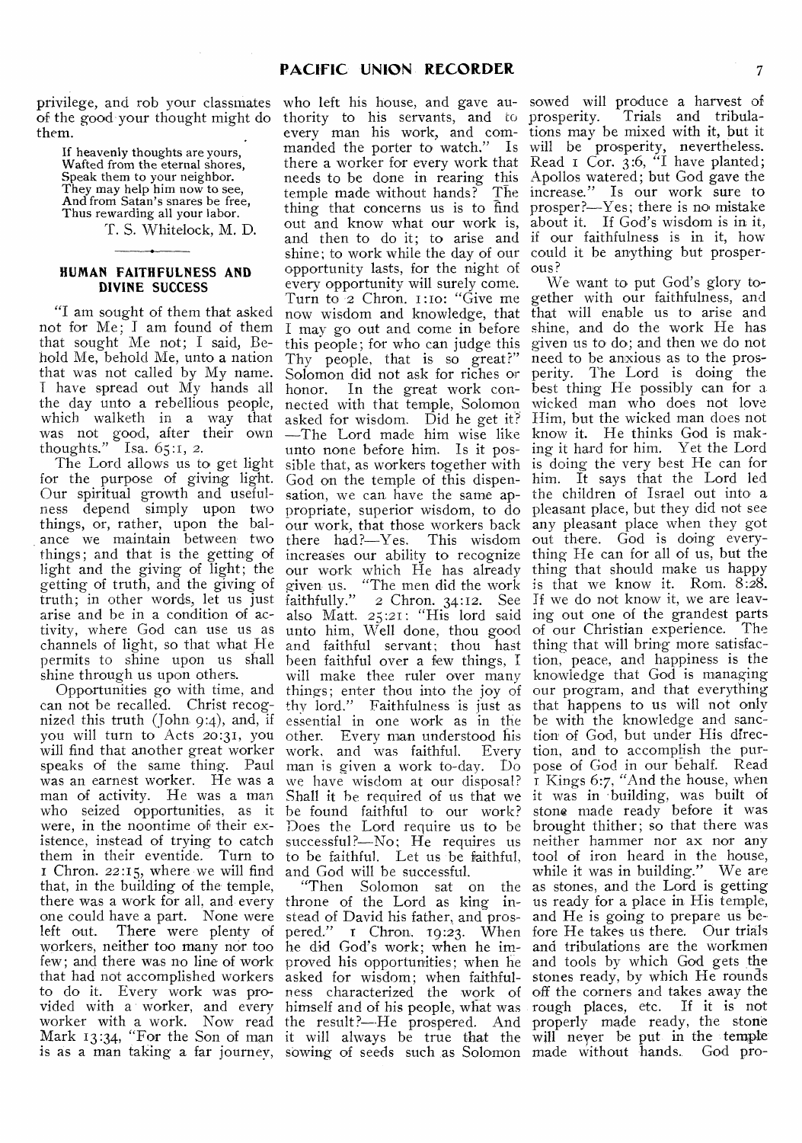privilege, and rob your classmates of the good your thought might do them.

> If heavenly thoughts are yours, Wafted from the eternal shores, Speak them to your neighbor. They may help him now to see. And from Satan's snares be free, Thus rewarding all your labor.

T. S. Whitelock, M. D.

#### **HUMAN FAITHFULNESS AND DIVINE SUCCESS**

"I am sought of them that asked not for Me; I am. found of them that sought Me not; I said, Behold Me, behold Me, unto a nation that was not called by My name. I have spread out My hands all the day unto a rebellious people, which walketh in a way that was not good, after their own thoughts." Isa.  $65:1, 2$ .

for the purpose of giving light. Our spiritual growth and usefulness depend simply upon two things, or, rather, upon the balance we maintain between two there had?—Yes. This wisdom out there. God is doing everylight and the giving of light; the getting of truth, and the giving of arise and be in a condition of activity, where God can use us as shine through us upon others.

will find that another great worker work, and was faithful. Every speaks of the same thing. Paul man is given a work to-day. Do pose of God in our behalf. Read was an earnest worker. He was a we have wisdom at our disposal? I Kings 6:7, "And the house, when Chron. 22:15, where we will find and God will be successful. that, in the building of the temple, there was a work for all, and every left out. There were plenty of workers, neither too many nor too few; and there was no line of work that had not accomplished workers to do it. Every work was provided with a worker, and every worker with a work. Now read Mark 13:34, "For the Son of man is as a man taking a far journey,

The Lord allows us to get light sible that, as workers together with is doing the very best He can for things; and that is the getting of increases our ability to recognize thing He can for all of us, but the truth; in other words, let us just faithfully." 2 Chron. 34:12. See If we do not know it, we are leavchannels of light, so that what He and faithful servant; thou hast thing that will bring more satisfacnized this truth (john 9:4), and, if essential in one work as in the be with the knowledge and sancyou will turn to Acts 20:31, you other. Every man understood his tion of God, but under His direcman of activity. He was a man Shall it he required of us that we it was in 'building, was built of who left his house, and gave authority to his servants, and to every man his work, and commanded the porter to watch." Is there a worker for every work that needs to be done in rearing this temple made without hands? The thing that concerns us is to find out and know what our work is, and then to do it; to arise and shine; to work while the day of our opportunity lasts, for the night of every opportunity will surely come. Turn to '2 Chron. 1:Io: "Give me now wisdom and knowledge, that I may go out and come in before this people; for who can judge this Thy people, that is so great?" Solomon did not ask for riches or honor. In the great work connected with that temple, Solomon asked for wisdom. Did he get it? —The Lord made him wise like unto none before him. Is it pos-God on the temple of this dispen-him. It says that the Lord led sation, we can have the same ap- the children of Israel out into a propriate, superior wisdom, to do pleasant place, but they did not see our work, that those workers back any pleasant place when they got our work which He has already given, us. "The men did the work also Matt. 25:21: "His lord said unto him, Well done, thou good will make thee ruler over many

> "Then Solomon sat on the throne of the Lord as king inpered;" I Chron. 19:23. When he did God's work; when he improved his opportunities; when he asked for wisdom; when faithfulness characterized the work of himself and of his people, what was the result?--He prospered. And it will always be true that the sowing of seeds such as Solomon

sowed will produce a harvest of prosperity. Trials and tribulations may be mixed with it, but it will be prosperity, nevertheless. Read  $\bar{1}$  Cor. 3:6,  $\bar{1}$  have planted; Apollos watered; but God gave the increase." Is our work sure to prosper?—Yes; there is no mistake about it. If God's wisdom is in it, if our faithfulness is in it, how could it be anything but prosperous?

permits to shine upon us shall been faithful over a few things, I tion, peace, and happiness is the Opportunities go with time, and things; enter thou into the joy of our program, and that everything can not be recalled. Christ recog-thy lord." Faithfulness is just as that happens to us will not only who seized opportunities, as it be found faithful to our work? stone made ready before it was were, in the noontime of their ex-Does the Lord require us to be brought thither; so that there was istence, instead of trying to catch successful?—No; He requires us neither hammer nor ax nor any them in their eventide. Turn to to be faithful. Let us be faithful, tool of iron heard in the house, one could have a part. None were stead of David his father, and pros- and He is going to prepare us be-We want to put God's glory together with our faithfulness, and that will enable us to arise and shine, and do the work He has given us to do; and then we do not need to be anxious as to the prosperity. The Lord is doing the best thing He possibly can for a. wicked man who does not love Him, but the wicked man does not know it. He thinks God is making it hard for him. Yet the Lord thing that should make us happy is that we know it. Rom. 8:28. ing out one of the grandest parts of our Christian experience. The knowledge that God is managing Every tion, and to accomplish the purwhile it was in building." We are as stones, and the Lord is getting us ready for a place in His temple, fore He takes us there. Our trials and tribulations are the Workmen and tools by which God gets the stones ready, by which He rounds off the corners and takes away the rough places, etc. If it is not properly made ready, the stone will never be put in the temple made Without hands. God pro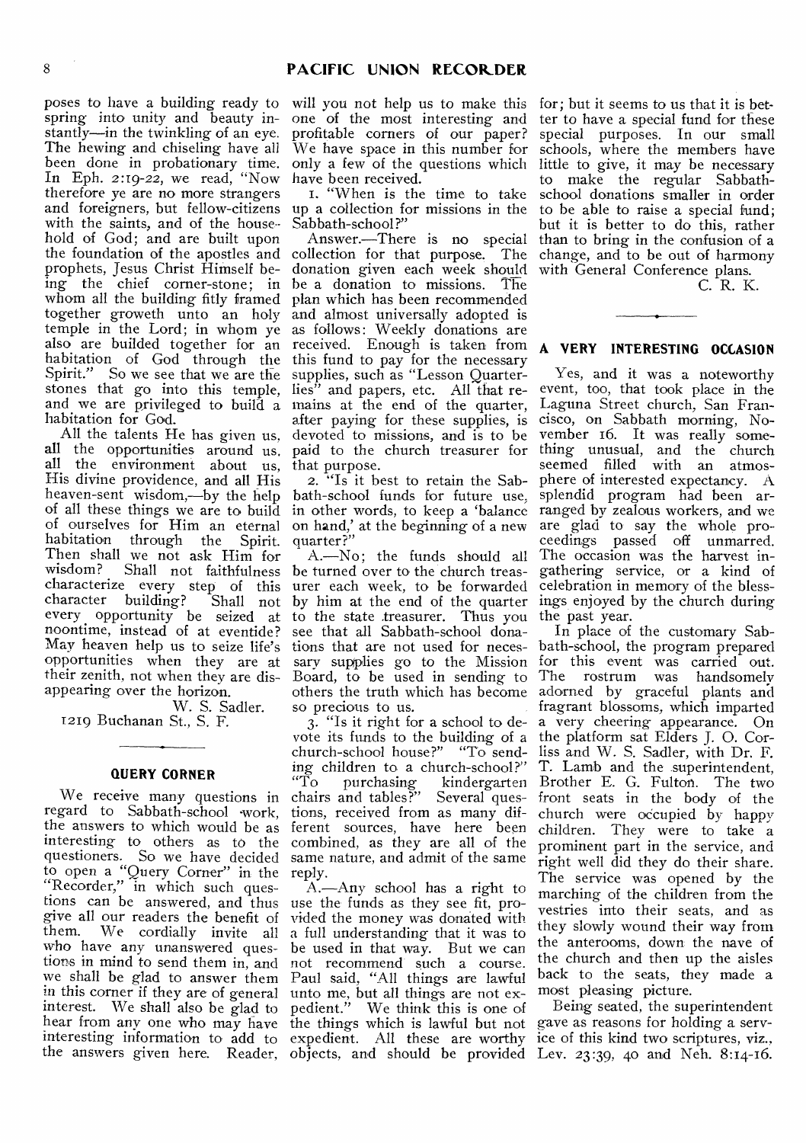poses to have a building ready to spring into unity and beauty instantly—in the twinkling of an eye. The hewing and chiseling have all been done in probationary time. In Eph. 2:19-22, we read, "Now therefore ye are no more strangers and foreigners, but fellow-citizens up a collection for missions in the with the saints, and of the household of God; and are built upon the foundation of the apostles and collection for that purpose. The prophets, Jesus Christ Himself being the chief corner-stone; in whom all the building fitly framed together groweth unto an holy temple in the Lord; in whom ye also are builded together for an habitation of God through the Spirit." So we see that we are the stones that go into this temple, and we are privileged to build a habitation for God.

All the talents He has given us. all the opportunities around us. all the environment about us, His divine providence, and all His heaven-sent wisdom,—by the help of all these things we are to build of ourselves for Him an eternal habitation through the Spirit. Then shall we not ask Him for wisdom? Shall not faithfulness characterize every step of this character building? Shall not every opportunity be seized at noontime, instead of at eventide? May heaven help us to seize life's opportunities when they are at their zenith, not when they are disappearing over the horizon.

W. S. Sadler. 1219 Buchanan St., S. F.

#### **QUERY CORNER**

We receive many questions in regard to Sabbath-school work, the answers to which would be as interesting to others as to the questioners. So we have decided to open a "Query Corner" in the "Recorder," in which such questions can be answered, and thus give all our readers the benefit of<br>them. We cordially invite all We cordially invite all who have any unanswered questions in mind to send them in, and we shall be glad to answer them in this corner if they are of general unto me, but all things are not exinterest. We shall also be glad to pedient." We think this is one of hear from any one who may have the things which is lawful but not interesting information to add to expedient. All these are worthy ice of this kind two scriptures, viz.,

will you not help us to make this one of the most interesting and profitable corners of our paper? We have space in this number for only a few of the questions which have been received.

1. "When is the time to take Sabbath-school?"

Answer.—There is no special donation given each week should be a donation to missions. The plan which has been recommended and almost universally adopted is as follows: Weekly donations are received. Enough is taken from this fund to pay for the necessary supplies, such as "Lesson Quarterlies" and papers, etc. All that remains at the end of the quarter, after paying for these supplies, is devoted to missions, and is to be paid to the church treasurer for that purpose.

2. "Is it best to retain the Sabbath-school funds for future use, in other words, to keep a 'balance on hand,' at the beginning of a new quarter ?"

A.—No; the funds should all be turned over to the church treasurer each week, to be forwarded by him at the end of the quarter to the state treasurer. Thus you see that all Sabbath-school donations that are not used for necessary supplies go to the Mission Board, to be used in sending to others the truth which has become so precious to us.

3. "Is it right for a school to devote its funds to the building of a church-school house?" "To sending children to a church-school?"<br>"To purchasing kindergarten "To purchasing kindergarten chairs and tables?" Several questions, received from as many different sources, have here been combined, as they are all of the same nature, and admit of the same reply.

A.—Any school has a right to use the funds as they see fit, provided the money was donated with a full understanding that it was to be used in that way. But we can not recommend such a course. Paul said, "All things are lawful

for; but it seems to us that it is better to have a special fund for these special purposes. In our small schools, where the members have little to give, it may be necessary to make the regular Sabbathschool donations smaller in order to be able to raise a special fund; but it is better to do this, rather than to bring in the confusion of a change, and to be out of harmony with General Conference plans.

C. R. K.

# **A VERY INTERESTING OCCASION**

Yes, and it was a noteworthy event, too, that took place in the Laguna Street church, San Francisco, on Sabbath morning, November 16. It was really something unusual, and the church seemed filled with an atmosphere of interested expectancy. A splendid program had been arranged by zealous workers, and we are glad to say the whole proceedings passed off unmarred. The occasion was the harvest ingathering service, or a kind of celebration in memory of the blessings enjoyed by the church during the past year.

In place of the customary Sabbath-school, the program prepared for this event was carried out. The rostrum was handsomely adorned by graceful plants and fragrant blossoms, which imparted a very cheering appearance. On the platform sat Elders J. 0. Corliss and W. S. Sadler, with Dr. F. T. Lamb and the superintendent, Brother E. G. Fulton. The two front seats in the body of the church were occupied by happy children. They were to take a prominent part in the service, and right well did they do their share. The service was opened by the marching of the children from the vestries into their seats, and as they slowly wound their way from the anterooms, down the nave of the church and then up the aisles back to the seats, they made a most pleasing picture.

the answers given here. Reader, objects, and should be provided Lev. 23:39, 40 and Neh. 8:14-16. Being seated, the superintendent gave as reasons for holding a serv-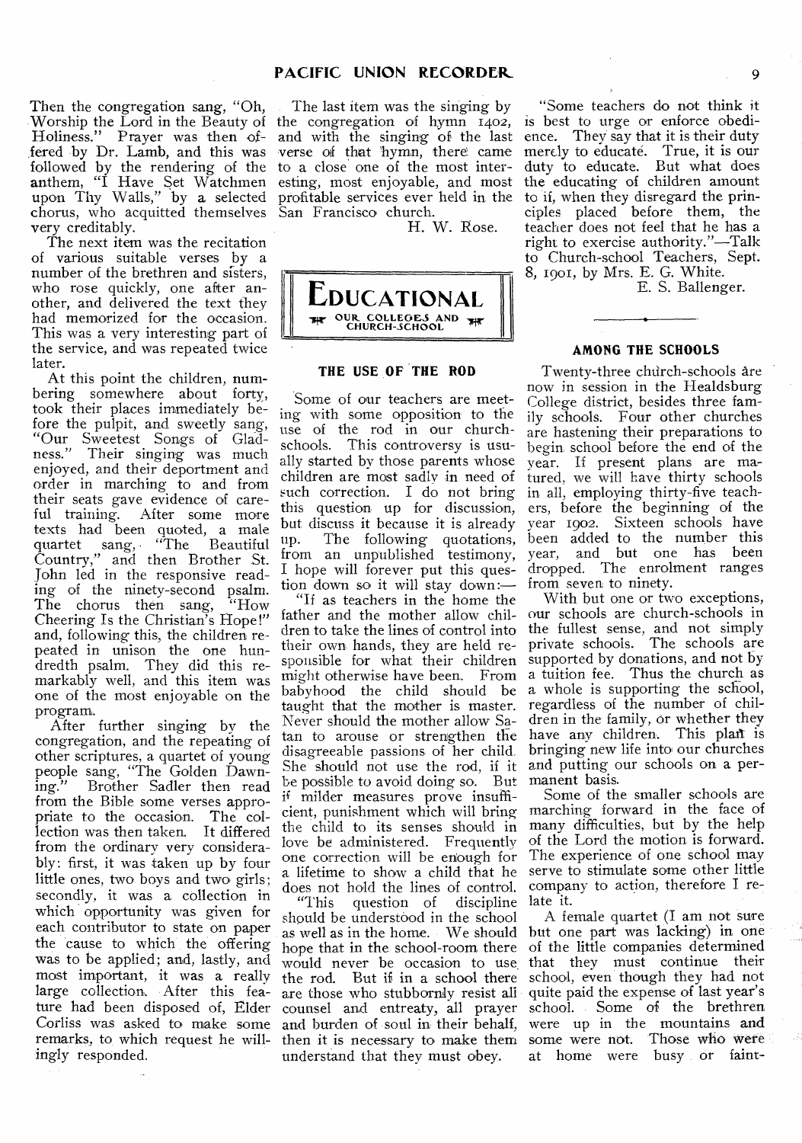Then the congregation sang, "Oh, -Worship the Lord in the Beauty of Holiness." Prayer was then offered by Dr. Lamb, and this was followed by the rendering of the anthem, "I Have Set Watchmen upon Thy Walls," by a selected chorus, who acquitted themselves very creditably.

The next item was the recitation of various suitable verses by a number of the brethren and sisters, who rose quickly, one after another, and delivered the text they had memorized for the occasion. This was a very interesting part of the service, and was repeated twice later.

At this point the children, numbering somewhere about forty, took their places immediately before the pulpit, and sweetly sang, "Our Sweetest Songs of Gladness." Their singing was much enjoyed, and their deportment and order in marching to and from their seats gave evidence of careful training. After some more texts had been quoted, a male quartet sang, "The Beautiful quartet sang, "The Beautiful Country," and then Brother St. John led in the responsive reading of the ninety-second psalm.<br>The chorus then sang, "How The chorus then sang, Cheering Is the Christian's Hope!" and, following this, the children repeated in unison the one hundredth psalm. They did this remarkably well, and this item was one of the most enjoyable on the program.

After further singing by the congregation, and the repeating of other scriptures, a quartet of young people sang, "The Golden Dawning." Brother Sadler then read from the Bible some verses appropriate to the occasion. The collection was then taken. It differed from the ordinary very considerably: first, it was taken up by four little ones, two boys and two girls; secondly, it was a collection in which opportunity was given for each contributor to state on paper the 'cause to which the offering was to be applied; and, lastly, and most important, it was a really large collection. After this feature had been disposed of, Flder Corliss was asked to make some remarks, to which request he willingly responded.

The last item was the singing by the congregation of hymn 1402, and with the singing of the last verse of that hymn, there came to a close one of the most interesting, most enjoyable, and most profitable services ever held in the San Francisco church.

H. W. Rose.



# **THE USE OF THE ROD**

Some of our teachers are meeting with some opposition to the use of the rod in our churchschools. This controversy is usually started by those parents whose children are most sadly in need of such correction. I do not bring in all, employing thirty-five teachthis question up for discussion, but discuss it because it is already<br>up. The following quotations, up. The following quotations, from an unpublished testimony, I hope will forever put this question down so it will stay down:—

"If as teachers in the home the father and the mother allow chiltheir own hands, they are held responsible for what their children supported by donations, and not by taught that the mother is master. Never should the mother allow Sadisagreeable passions of her child. She should not use the rod, if it and putting our schools on a perbe possible to avoid doing so. But manent basis. ii' milder measures prove insuffithe child to its senses should in love be administered. Frequently one correction will be enough for does not hold the lines of control. company to action, therefore I re-

"This question of discipline late it. should be understood in the school understand that they must obey.

"Some teachers do not think it is best to urge or enforce obedience. They say that it is their duty merely to educate. True, it is our duty to educate. But what does the educating of children amount to if, when they disregard the principles placed before them, the teacher does not feel that he has a right to exercise authority."—Talk to Church-school Teachers, Sept. 8, 19o1, by Mrs. E. G. White.

E. S. Ballenger.

# **AMONG THE SCHOOLS**

Twenty-three church-schools are now in session in the Healdsburg College district, besides three family schools. Four other churches are hastening their preparations to begin school before the end of the year. If present plans are matured, we will have thirty schools ers, before the beginning of the year 1902. Sixteen schools have been added to the number this year, and but one has been dropped. The enrolment ranges from seven to ninety.

dren to take the lines of control into the fullest sense, and not simply might otherwise have been. From a tuition fee. Thus the church as babyhood the child should be a whole is supporting the school, tan to arouse or strengthen the have any children. This plan is With but one or two exceptions, our schools are church-schools in private schools. The schools are regardless of the number of children in the family, or whether they bringing new life into our churches

cient, punishment which will bring marching forward in the face of a lifetime to show a child that he serve to stimulate some other little Some of the smaller schools are many difficulties, but by the help of the Lord the motion is forward. The experience of one school may

as well as in the home. We should but one part was lacking) in one hope that in the school-room there of the little companies determined would never be occasion to use that they must continue their the rod. But if in a school there school, even though they had not are those who stubbornly resist all quite paid the expense of last year's counsel and entreaty, all prayer school. Some of the brethren and burden of soul in their behalf, were up in the mountains and then it is necessary to make them some were not. Those who were A female quartet (I am not sure at home were busy , or faint-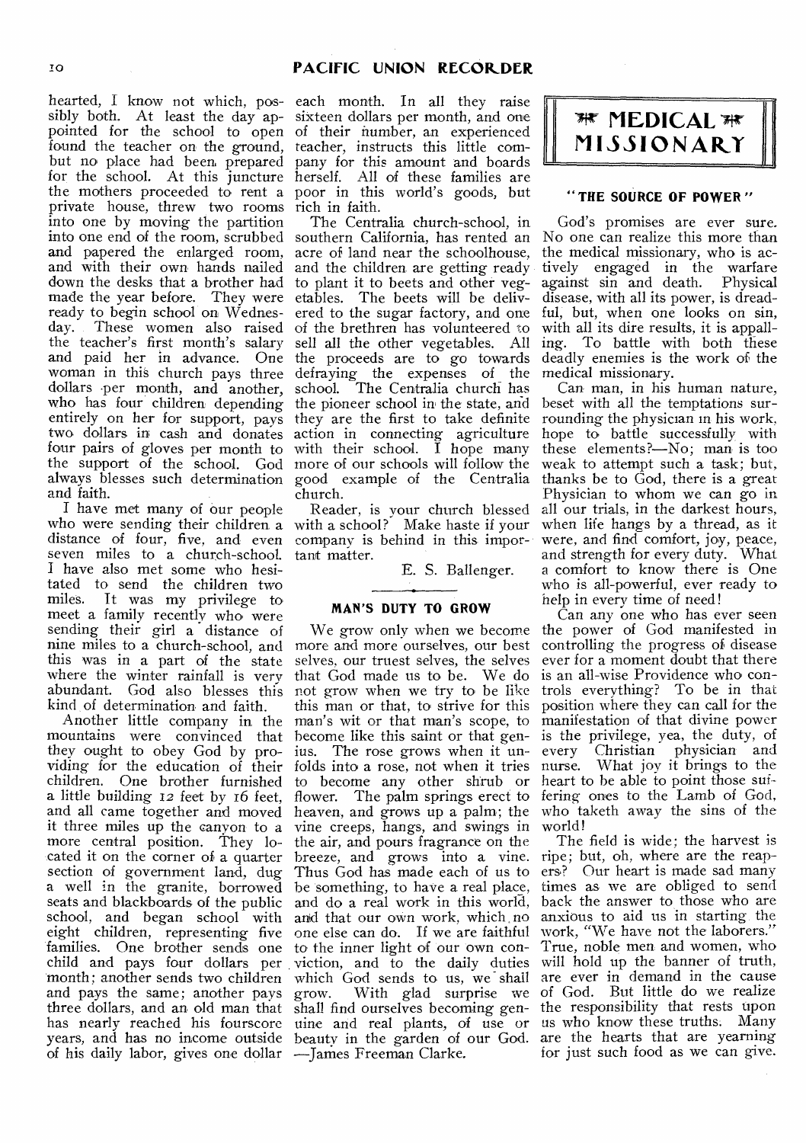sibly both. At least the day ap- sixteen dollars per month, and one pointed for the school to open of their number, an experienced found the teacher on the ground, teacher, instructs this little combut no place had been prepared pany for this amount and boards for the school. At this juncture the mothers proceeded to rent a private house, threw two rooms rich in faith. into one by moving the partition into one end of the room, scrubbed southern California, has rented an No one can realize this more than and papered the enlarged room, acre of land near the schoolhouse, and with their own hands nailed and the children are getting ready down the desks that a brother had to plant it to beets and other vegmade the year before. They were ready to begin school on Wednesday. These women also raised the teacher's first month's salary and paid her in advance. One woman in this church pays three dollars per month, and another, who has four children depending the pioneer school in the state, and entirely on her for support, pays they are the first to take definite two dollars in cash and donates four pairs of gloves per month to the support of the school. God more of our schools will follow the always blesses such determination good example of the Centralia and faith.

I have met many of our people who were sending their children a with a school? Make haste if your distance of four, five, and even company is behind in this imporseven miles to a church-school. I have also met some who hesitated to send the children two miles. It was my privilege to meet a family recently who were sending their girl a distance of nine miles to a church-school, and this was in a part of the state where the winter rainfall is very abundant. God also blesses this not grow when we try to be like kind of determination and faith.

mountains were convinced that become like this saint or that genthey ought to obey God by providing for the education of their children. One brother furnished to become any other shrub or heart to be able to point those sufa little building 12 feet by 16 feet, flower. The palm springs erect to and all came together and moved heaven, and grows up a palm; the it three miles up the canyon to a vine creeps, hangs, and swings in more central position. They lo- the air, and pours fragrance on the cated it on the corner of a quarter breeze, and grows into a vine. ripe; but, oh, where are the reapsection of government land, dug Thus God has made each of us to ers? Our heart is made sad many a well in the granite, borrowed be something, to have a real place, times as we are obliged to send seats and blackboards of the public and do a real work in this world, back the answer to those who are school, and began school with eight children, representing five families. One brother sends one to the inner light of our own con- True, noble men and women, who child and pays four dollars per viction, and to the daily duties will hold up the banner of truth, month; another sends two children and pays the same; another pays three dollars, and an old man that shall find ourselves becoming gen-the responsibility that rests upon has nearly reached his fourscore uine and real plants, of use or us who know these truths. Many years, and has no income outside beauty in the garden of our God. are the hearts that are yearning of his daily labor, gives one dollar —James Freeman Clarke.

hearted, I know not which, pos-each month. In all they raise herself. All of these families are poor in this world's goods, but

> The Centralia church-school, in etables. The beets will be delivered to the sugar factory, and one of the brethren has volunteered to sell all the other vegetables. All the proceeds are to go towards defraying the expenses of the school. The Centralia church has action in connecting agriculture with their school. I hope many church.

Reader, is your church blessed tant matter.

E. S. Ballenger.

# **MAN'S DUTY TO GROW**

Another little company in the man's wit or that man's scope, to more and more ourselves, our best selves, our truest selves, the selves that God made us to be. We do this man or that, to strive for this ius. The rose grows when it unand that our own work, which no one else can do. If we are faithful which God sends to us, we shall grow. With glad surprise we



# **" THE SOURCE OF POWER "**

God's promises are ever sure. the medical missionary, who is actively engaged in the warfare against sin and death. Physical disease, with all its power, is dreadful, but, when one looks on sin, with all its dire results, it is appalling. To battle with both these deadly enemies is the work of the medical missionary.

Can man, in his human nature, beset with all the temptations surrounding the physician in his work, hope to battle successfully with these elements?—No; man is too weak to attempt such a task; but, thanks be to God, there is a great Physician to whom we can go in all our trials, in the darkest hours, when life hangs by a thread, as it were, and find comfort, joy, peace, and strength for every duty. What a comfort to know there is One who is all-powerful, ever ready to help in every time of need!

We grow only when we become the power of God manifested in folds into a rose, not when it tries nurse. What joy it brings to the Can any one who has ever seen controlling the progress of disease ever for a moment doubt that there is an all-wise Providence who controls everything? To be in that position where they can call for the manifestation of that divine power is the privilege, yea, the duty, of every Christian physician and fering ones to the Lamb of God, who taketh away the sins of the world!

The field is wide; the harvest is anxious to aid us in starting the work, "We have not the laborers." are ever in demand in the cause of God. But little do we realize for just such food as we can give.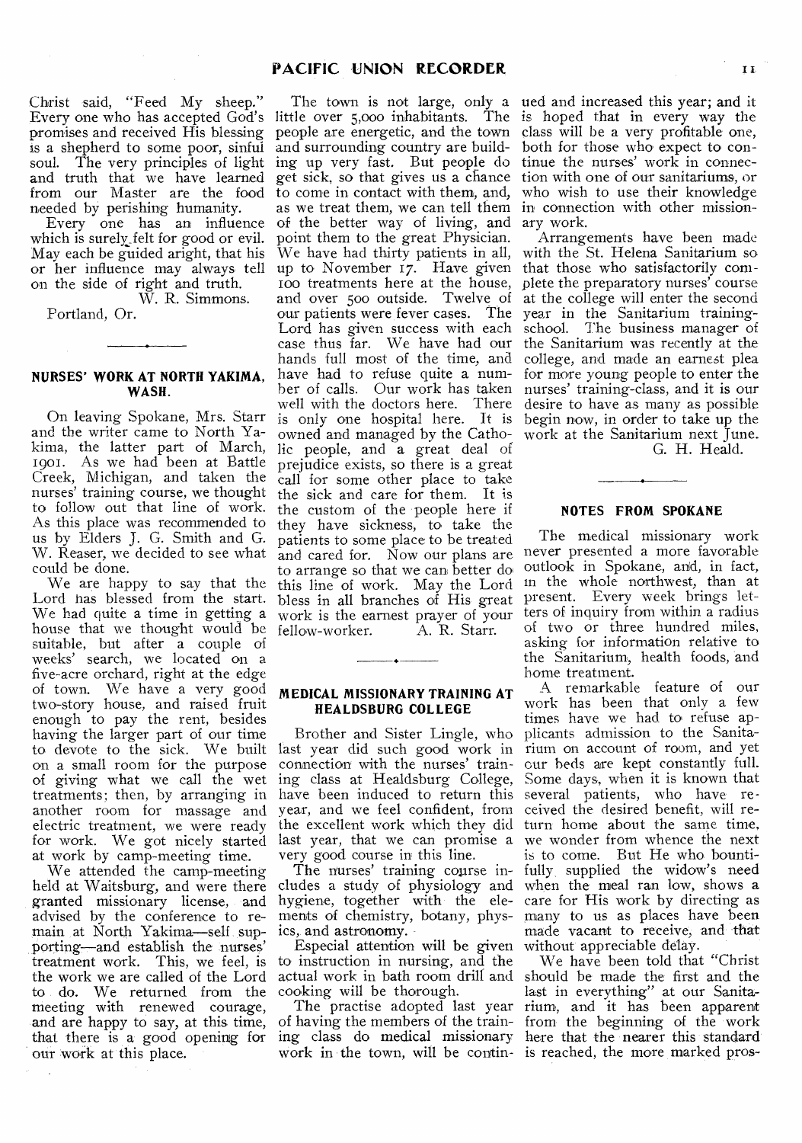Christ said, "Feed My sheep." promises and received His blessing is a shepherd to some poor, sinful soul. The very principles of light ing up very fast. But people do and truth that we have learned from our Master are the food needed by perishing humanity.

Every one has an influence which is surely felt for good or evil. May each be guided aright, that his or her influence may always tell on the side of right and truth. W. R. Simmons.

Portland, Or.

# **NURSES' WORK AT NORTH YAKIMA, WASH.**

On leaving Spokane, Mrs. Starr and the writer came to North Yakima, the latter part of March, 1901. As we had been at Battle Creek, Michigan, and taken the nurses' training course, we thought to follow out that line of work. As this place was recommended to us by Elders J. G. Smith and G. W. Reaser, we decided to see what could be done.

We are happy to say that the Lord has blessed from the start. We had quite a time in getting a house that we thought would be suitable, but after a couple of weeks' search, we located on a five-acre orchard, right at the edge of town. We have a very good two-story house, and raised fruit enough to pay the rent, besides having the larger part of our time to devote to the sick. We built on a small room for the purpose of giving what we call the wet treatments; then, by arranging in another room for massage and electric treatment, we were ready for work. We got nicely started at work by camp-meeting time.

We attended the camp-meeting held at Waitsburg, and were there granted missionary license, and advised by the conference to remain at North Yakima—self supporting—and establish the nurses' treatment work. This, we feel, is the work we are called of the Lord to do. We returned from the meeting with renewed courage, and are happy to say, at this time, that there is a good opening for our work at this place.

Every one who has accepted God's little over 5,000 inhabitants. The is hoped that in every way the people are energetic, and the town class will be a very profitable one, and surrounding country are buildget sick, so that gives us a chance to come in contact with them, and, as we treat them, we can tell them in connection with other missionof the better way of living, and ary work. point them to the great Physician. We have had thirty patients in all, up to November 17. Have given 100 treatments here at the house, and over 500 outside. Twelve of our patients were fever cases. The Lord has given success with each case thus far. We have had our hands full most of the time, and have had to refuse quite a number of calls. Our work has taken well with the doctors here. There is only one hospital here. It is owned and managed by the Catholic people, and a great deal of prejudice exists, so there is a great call for some other place to take the sick and care for them. It is the custom of the •people here if they have sickness, to take the patients to some place to be treated and cared for. Now our plans are to arrange so that we can better do this line of work. May the Lord bless in all branches of His great work is the earnest prayer of your<br>fellow-worker. A. R. Starr. fellow-worker.

#### **MEDICAL MISSIONARY TRAINING AT HEALDSBURG COLLEGE**

Brother and Sister Lingle, who last year did such good work in connection with the nurses' training class at Healdsburg College, have been induced to return this year, and we feel confident, from the excellent work which they did last year, that we can promise a very good course in this line.

The nurses' training course includes a study of physiology and hygiene, together with the elements of chemistry, botany, physics, and astronomy.

Especial attention will be given to instruction in nursing, and the cooking will be thorough.

The practise adopted last year of having the members of the trainwork in the town, will be contin-is reached, the more marked pros-

The town is not large, only a ued and increased this year; and it both for those who expect to continue the nurses' work in connection with one of our sanitariums, or who wish to use their knowledge

Arrangements have been made with the St. Helena Sanitarium so that those who satisfactorily complete the preparatory nurses' course at the college will enter the second year in the Sanitarium trainingschool. The business manager of the Sanitarium was recently at the college, and made an earnest plea for more young people to enter the nurses' training-class, and it is our desire to have as many as possible begin now, in order to take up the work at the Sanitarium next June.

G. H. Heald.

### **NOTES FROM SPOKANE**

The medical missionary work never presented a more favorable outlook in Spokane, and, in fact, in the whole northwest, than at present. Every week brings letters of inquiry from within a radius of two or three hundred miles, asking for information relative to the Sanitarium, health foods, and home treatment.

A remarkable feature of our work has been that only a few times have we had to refuse applicants admission to the Sanitarium on account of room, and yet cur beds are kept constantly full. Some days, when it is known that several patients, who have received the desired benefit, will return home about the same time, we wonder from whence the next is to come. But He who bountifully, supplied the widow's need when the meal ran low, shows a care for His work by directing as many to us as places have been made vacant to receive, and that without appreciable delay.

actual work in bath room drill and should be made the first and the ing class do medical missionary here that the nearer this standard' We have been told that "Christ last in everything" at our Sanitarium, and it has been apparent. from the beginning of the work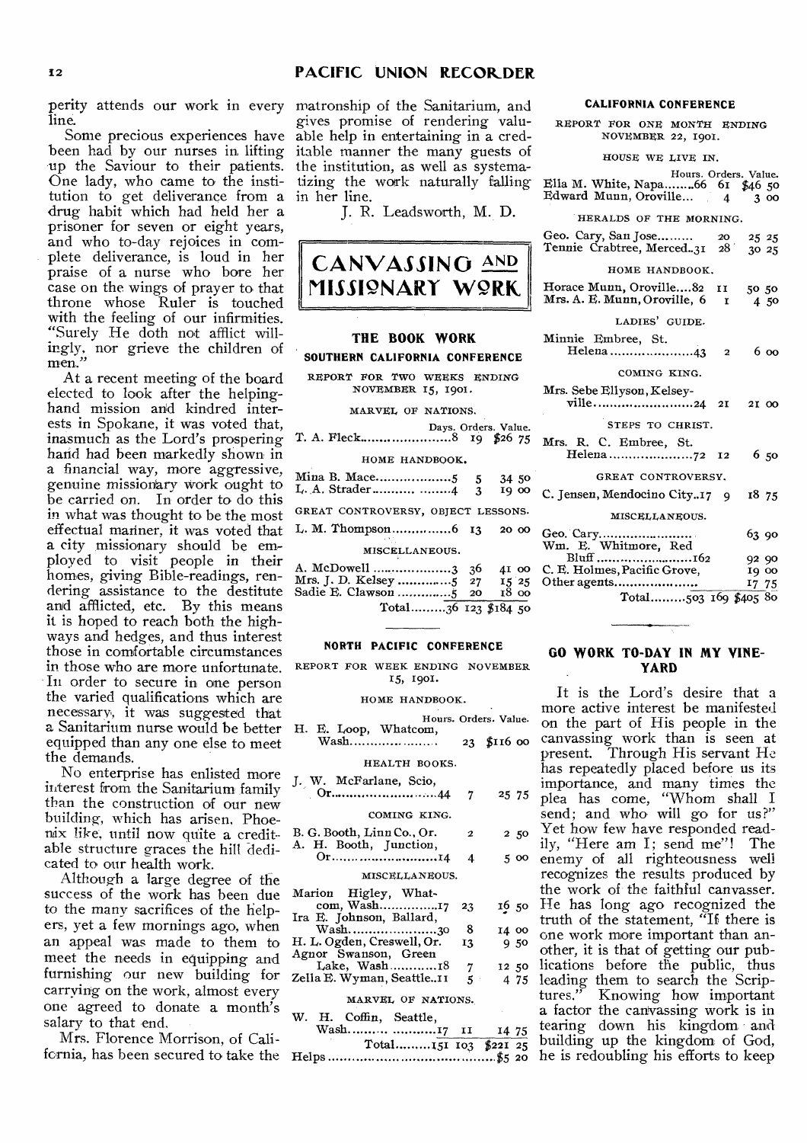line.

Some precious experiences have been had by our nurses in, lifting up the Saviour to their patients. One lady, who came to the institution to get deliverance from a in her line. drug habit which had held her a prisoner for seven or eight years, and who to-day rejoices in complete deliverance, is loud in her praise of a nurse who bore her case on the wings of prayer to that throne whose Ruler is touched with the feeling of our infirmities. "Surely He doth not afflict willingly, nor grieve the children of men.

At a recent meeting of the board elected to look after the helpinghand mission and kindred interests in Spokane, it was voted that, inasmuch as the Lord's prospering hand had been markedly shown in a financial way, more aggressive, genuine missionary work ought to be carried on. In order to do this in what was thought to be the most effectual mariner, it was voted that L. M. Thompson 6 13 20 00 a city missionary should be employed to visit people in their homes, giving Bible-readings, rendering assistance to the destitute and afflicted, etc. By this means it is hoped to reach both the highways and hedges, and thus interest those in comfortable circumstances in those who are more unfortunate. In order to secure in one person the varied qualifications which are necessary, it was suggested that a Sanitarium nurse would be better equipped than any one else to meet the demands.

No enterprise has enlisted more interest from the Sanitarium family than the construction of our new building, which has arisen, Phoenix like, until now quite a creditable structure graces the hill dedicated to our health work.

Although a large degree of the success of the work has been due to the many sacrifices of the helpers, yet a few mornings ago, when an appeal was made to them to meet the needs in equipping and furnishing our new building for carrying on the work, almost every one agreed to donate a month's salary to that end.

Mrs. Florence Morrison, of Cali-

perity attends our work in every matronship of the Sanitarium, and gives promise of rendering valuable help in entertaining in a creditable manner the many guests of the institution, as well as systematizing the work naturally failing

J. R. Leadsworth, M. **D.** 



## **NORTH PACIFIC CONFERENCE**

REPORT FOR WEEK ENDING NOVEMBER 15, 1901.

#### HOME HANDBOOK.

| H. E. Loop, Whatcom,                    |            | Hours. Orders. Value. |
|-----------------------------------------|------------|-----------------------|
| Wash                                    |            | 23 \$116 00           |
| HEALTH BOOKS.                           |            |                       |
| J. W. McFarlane, Scio,                  |            |                       |
|                                         | -7         | 25 75                 |
| COMING KING.                            |            |                       |
| B. G. Booth, Linn Co., Or.              | 2          | 250                   |
| A. H. Booth, Junction,<br>Or14          | 4          | 5 00                  |
| MISCELLANEOUS.                          |            |                       |
| Marion Higley, What-                    |            |                       |
| com, Wash17<br>Ira E. Johnson, Ballard, | 23         | 16 50                 |
| Wash30                                  | 8          | 14 00                 |
| H. L. Ogden, Creswell, Or.              | 13         | 950                   |
| Agnor Swanson, Green<br>Lake, Wash18    |            | 12 50                 |
| Zella E. Wyman, Seattle11               | 7<br>$5 -$ | 4 75                  |
|                                         |            |                       |
| MARVEL OF NATIONS.                      |            |                       |
| W. H. Coffin, Seattle,                  |            |                       |
| Wash 17 11                              |            | 14 75                 |
| $Total$ <sub>1</sub> $151$ $103$        |            | \$22T 25              |

# fornia, has been secured to take the Total 151 103 \$221 25 Helps \$5 20 he is redoubling his efforts to keep

#### **CALIFORNIA CONFERENCE**

REPORT FOR ONE MONTH ENDING NOVEMBER 22, 1901.

HOUSE WE LIVE IN.

Hours. Orders. Value. Ella M. White, Napa .66 61 \$46 50 Edward Munn, Oroville...  $4 \overline{3}$  00

HERALDS OF THE MORNING.

| Geo. Cary, San Jose<br>Tennie Crabtree, Merced. 31 28 30 25 | <b>20</b> | 25 25 |
|-------------------------------------------------------------|-----------|-------|
|-------------------------------------------------------------|-----------|-------|

#### HOME HANDBOOK.

| Horace Munn, Oroville82 II<br>Mrs. A. E. Munn, Oroville, 6<br>r | 50.50<br>4.50 |
|-----------------------------------------------------------------|---------------|
| LADIES' GUIDE.                                                  |               |
| Minnie Embree, St.<br>Helena 43<br>$\overline{\phantom{a}}$     | 6 00          |
| COMING KING.                                                    |               |
| Mrs. Sebe Ellyson, Kelsey-<br>ville24 2I                        | 21 00         |
| STEPS TO CHRIST.                                                |               |
| Mrs. R. C. Embree, St.                                          | 650           |
| GREAT CONTROVERSY,                                              |               |
| C. Jensen, Mendocino City17 9                                   | 18 75         |
| MISCELLANEOUS.                                                  |               |
| Geo. Cary<br>Wm. E. Whitmore, Red                               | 63.90         |
| Bluff 162                                                       | 92 90         |
| C. E. Holmes, Pacific Grove,                                    | 19 00         |
| Other agents                                                    | 17 75         |
| Total503 169 \$405 80                                           |               |
|                                                                 |               |

### **GO WORK TO-DAY IN MY VINE-YARD**

It is the Lord's desire that a more active interest be manifested on the part of His people in the canvassing work than is seen at present. Through His servant He has repeatedly placed before us its importance, and many times the plea has come, "Whom shall I send; and who will go for us?" Yet how few have responded readily, "Here am I; send me"! The enemy of all righteousness well recognizes the results produced by the work of the faithful canvasser. He has long ago recognized the truth of the statement, "If there is one work more important than another, it is that of getting our publications before the public, thus leading them to search the Scriptures." Knowing how important a factor the canvassing work is in tearing down his kingdom and building up the kingdom of God,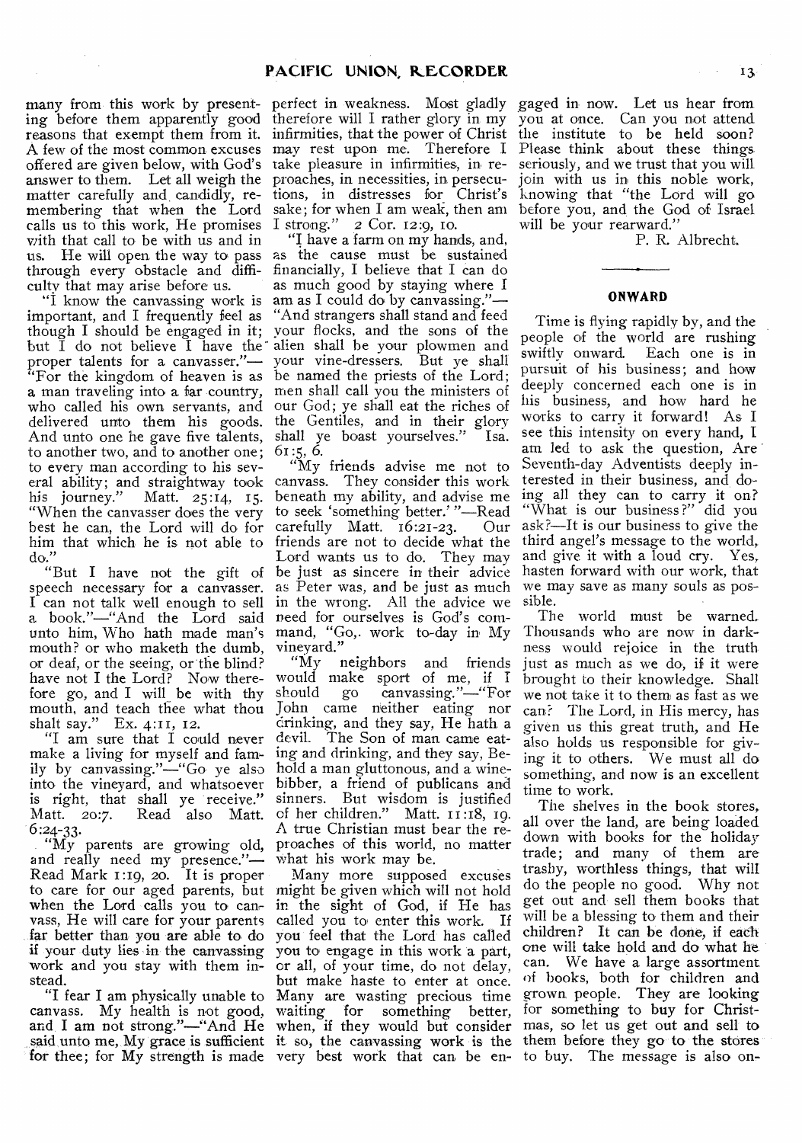ing before them apparently good therefore will I rather glory in my reasons that exempt them from it. infirmities, that the power of Christ the institute to be held soon? A few of the most common excuses may rest upon me. Therefore I offered are given below, with God's take pleasure in infirmities, in reanswer to them. Let all weigh the proaches, in necessities, in persecumatter carefully and candidly, remembering that when the Lord calls us to this work, He promises I strong." 2 Cor. 12:9, 10. with that call to be with us and in us. He will open the way to pass as the cause must be sustained through every obstacle and diffi-financially, I believe that I can do culty that may arise before us.

important, and I frequently feel as "And strangers shall stand and feed though I should be engaged in it; but I do not believe I have the proper talents for a canvasser."— "For the kingdom of heaven is as a man traveling into a far country, who called his own servants, and delivered unto them his goods. the Gentiles, and in their glory And unto one he gave five talents, to another two, and to another one; to every man according to his several ability; and straightway took canvass. They consider this work his journey." Matt. 25:14, 15. "When the canvasser does the very best he can, the Lord will do for him that which he is not able to do."

speech necessary for a canvasser. I can not talk well enough to sell a book."—"And the Lord said need for ourselves is God's comunto him, Who hath made man's mouth? or who maketh the dumb. mouth? or who maketh the dumb, or deaf, or the seeing, or the blind? have not I the Lord? Now therefore go, and I will be with thy mouth, and teach thee what thou shalt say." Ex. 4:11, 12.

"I am sure that I could never make a living for myself and family by canvassing."—"Go ye also into the vineyard, and whatsoever is right, that shall ye receive." Matt. 20:7. Read also Matt. 6 :24-33.

"My parents are growing old, and really need my presence."— Read Mark 1:19, 20. It is proper to care for our aged parents, but might be given which will not hold when the Lord calls you to canvass, He will care for your parents far better than you are able to do if your duty lies in the canvassing work and you stay with them instead.

canvass. My health is not good, and. I am not strong."—"And He for thee; for My strength is made very best work that can be en- to buy. The message is also on-

many from this work by present-perfect in weakness. Most gladly gaged in now. Let us hear from tions, in distresses for Christ's sake; for when I am weak, then ani

"I know the canvassing work is am as I could do by canvassing."— "I have a farm on my hands, and, as much good by staying where I your flocks, and the sons of the alien shall he your plowmen and your vine-dressers. But ye shall be named the priests of the Lord; men shall call you the ministers of our God; ye shall eat the riches of shall ye boast yourselves." Isa. 61:5, 6.

"But I have not the gift of be just as sincere in their advice "My friends advise me not to beneath my ability, and advise me to seek 'something better.' "—Read<br>carefully Matt. 16:21-23. Our carefully Matt.  $16:21-23$ . friends are not to decide what the Lord wants us to do. They may as Peter was, and be just as much in the wrong. All the advice we mand, "Go,. work to-day in My vineyard."

"My neighbors and friends would make sport of me, if should go canvassing."—"For John came neither eating nor drinking, and they say, He hath a devil. The Son of man came eating and drinking, and they say, Behold a man gluttonous, and a winebibber, a friend of publicans and sinners. But wisdom is justified of her children." Matt. 11:18, 19. A true Christian must bear the reproaches of this world, no matter what his work may be.

"I fear I am physically unable to Many are wasting precious time said unto me, My grace is sufficient it so, the canvassing work is the Many more supposed excuses in the sight of God, if He has called you to enter this work. If you feel that the Lord has called you to engage in this work a part, or all, of your time, do not delay, but make haste to enter at once. waiting for something better, when, if they would but consider

you at once. Can you not attend Please think about these things seriously, and we trust that you will join with us in this noble work, knowing that "the Lord will go before you, and the God of Israel will be your rearward."

P. R. Albrecht.

#### **ONWARD**

Time is flying rapidly by, and the people of the world are rushing swiftly onward. Each one is in pursuit of his business; and how deeply concerned each one is in his business, and how hard he works to carry it forward! As I see this intensity on every hand, I am led to ask the question, Are Seventh-day Adventists deeply interested in their business, and doing all they can to carry it on? "What is our business?" did you ask?—It is our business to give the third angel's message to the world, and give it with a loud cry. Yes, hasten forward with our work, that we may save as many souls as possible.

The world must be warned. Thousands who are now in darkness would rejoice in the truth just as much as we do, if it were brought to their knowledge. Shall we not take it to them as fast as we can? The Lord, in His mercy, has given us this great truth, and He also holds us responsible for giving it to others. We must all do something, and now is an excellent time to work.

The shelves in the book stores. all over the land, are being loaded down with books for the holiday trade; and many of them are trashy, worthless things, that will do the people no good. Why not get out and' sell them books that will be a blessing to them and their children? It can be done, if each one will take hold and do 'what he. can. We have a large assortment of books, both for children and grown, people. They are looking for something to buy for Christmas, so let us get out and sell to them before they go to the stores-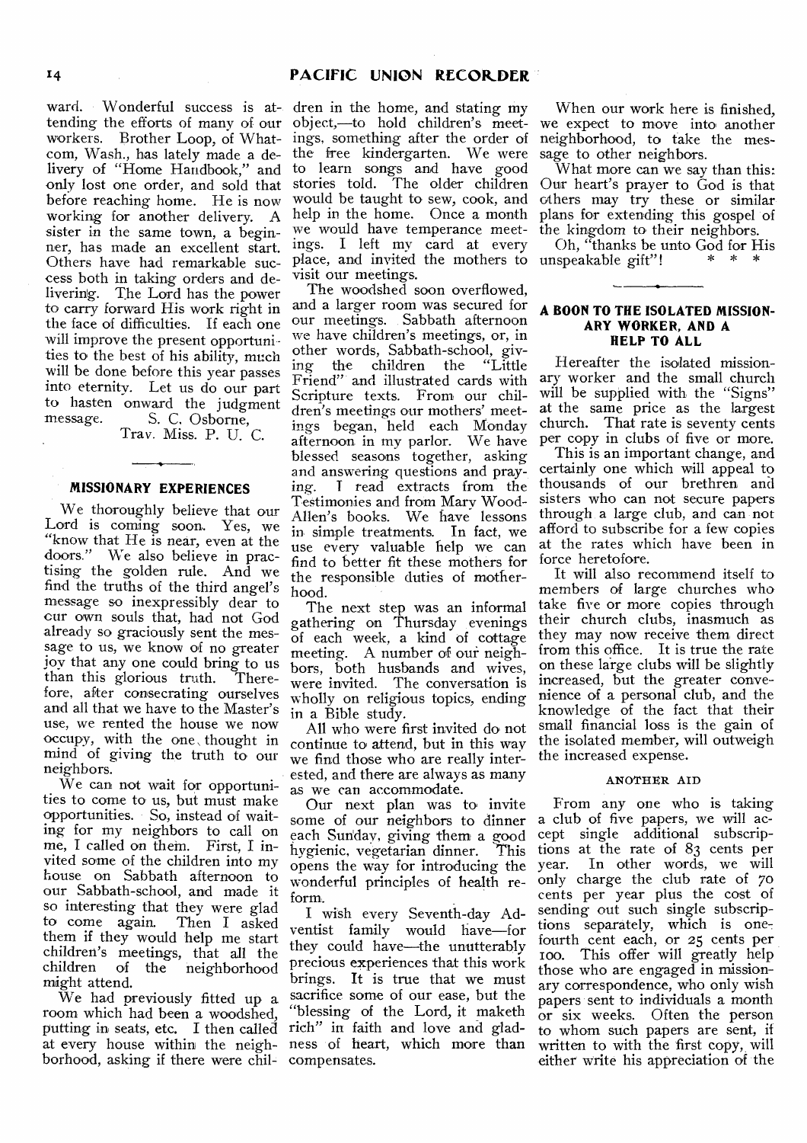# 14 **PACIFIC UNION RECORDER**

tending the efforts of many of our workers. Brother Loop, of Whatcorn, Wash., has lately made a delivery of "Home Handbook," and only lost one order, and sold that before reaching home. He is now working for another delivery. A sister in the same town, a beginner, has made an excellent start. Others have had remarkable success both in taking orders and de-<br>livering. The Lord has the power The Lord has the power to carry forward His work right in the face of difficulties. If each one will improve the present opportunities to the best of his ability, much will be done before this year passes into eternity. Let us do our part to hasten onward the judgment message. S. C. Osborne,

Tray. Miss. P. U. C.

#### **MISSIONARY EXPERIENCES**

We thoroughly believe that our Lord is coming soon. Yes, we "know that He is near, even at the doors," We also believe in practising the golden rule. And we find the truths of the third angel's message so inexpressibly dear to cur own souls that, had not God already so graciously sent the message to us, we know of no greater joy that any one could bring to us than this glorious truth. Therefore, after consecrating ourselves and all that we have to the Master's use, we rented the house we now occupy, with the one , thought in mind of giving the truth to our neighbors.

We can not wait for opportunities to come to us, but must make opportunities. So, instead of waiting for my neighbors to call on me, I called on them. First, I invited some of the children into my house on Sabbath afternoon to our Sabbath-school, and made it so interesting that they were glad<br>to come again. Then I asked to come again. them if they would help me start children's meetings, that all the children of the neighborhood might attend.

We had previously fitted up a room which had been a woodshed, putting in seats, etc. I then called rich" in faith and love and gladat every house within the neigh-ness of heart, which more than borhood, asking if there were chit-

ward. Wonderful success is at-dren in the home, and stating my object,—to hold children's meetings, something after the order of the free kindergarten. We were to learn songs and have good stories told. The older children would be taught to sew, cook, and help in the home. Once a month we would have temperance meetings. I left my card at every place, and invited the mothers to visit our meetings..

> The woodshed soon overflowed, and a larger room was secured for our meetings. Sabbath afternoon we have children's meetings, or, in other words, Sabbath-school, giving the children the "Little Friend" and illustrated cards with Scripture texts. From our children's meetings our mothers' meetings began, held each Monday afternoon in my parlor. We have blessed seasons together, asking and answering questions and praying. T read extracts from the Testimonies and from Mary Wood-Allen's books. We have lessons in simple treatments. In fact, we use every valuable help we can find to better fit these mothers for the responsible duties of motherhood.

> The next step was an informal gathering on Thursday evenings of each week, a kind of cottage meeting. A number of our neighbors, both husbands and wives, were invited. The conversation is wholly on religious topics, ending in a Bible study.

> All who were first invited do not continue to attend, but in this way we find those who are really interested, and there are always as many as we can accommodate.

> Our next plan was to invite some of our neighbors to dinner each Sun'day, giving them a good hygienic, vegetarian dinner. This opens the way for introducing the wonderful principles of health reform.

> I wish every Seventh-day Adventist family would have—for they could have—the unutterably precious experiences that this work brings. It is true that we must sacrifice some of our ease, but the "blessing of the Lord, it maketh compensates.

When our work here is finished, we expect to move into another neighborhood, to take the message to other neighbors.

What more can we say than this: Our heart's prayer to God is that others may try these or similar plans for extending this gospel of the kingdom to their neighbors.

Oh, "thanks be unto God for His<br>unspeakable gift"!<br>\* \* \*

### **A BOON TO THE ISOLATED MISSION-ARY WORKER, AND A HELP TO ALL**

Hereafter the isolated missionary worker and the small church will be supplied with the "Signs" at the same price as the largest church. That rate is seventy cents per copy in clubs of five or more.

This is an important change, and certainly one which will appeal to thousands of our brethren and sisters who can not secure papers through a large club, and can not afford to subscribe for a few copies at the rates which have been in force heretofore.

It will also recommend itself to members of large churches who take five or more copies through their church clubs, inasmuch as they may now receive them direct from this office. It is true the rate on these large clubs will be slightly increased, but the greater convenience of a personal club, and the knowledge of the fact that their small financial loss is the gain of the isolated member, will outweigh the increased expense.

#### ANOTHER AID

From any one who is taking a club of five papers, we will accept single additional subscriptions at the rate of 83 cents per In other words, we will only charge the club rate of 70 cents per year plus the cost of sending out such single subscriptions separately, which is onefourth cent each, or 25 cents per Ioo. This offer will greatly help those who are engaged in missionary correspondence, who only wish papers sent to individuals a month or six weeks. Often the person to whom such papers are sent, if written to with the first copy, will either write his appreciation of the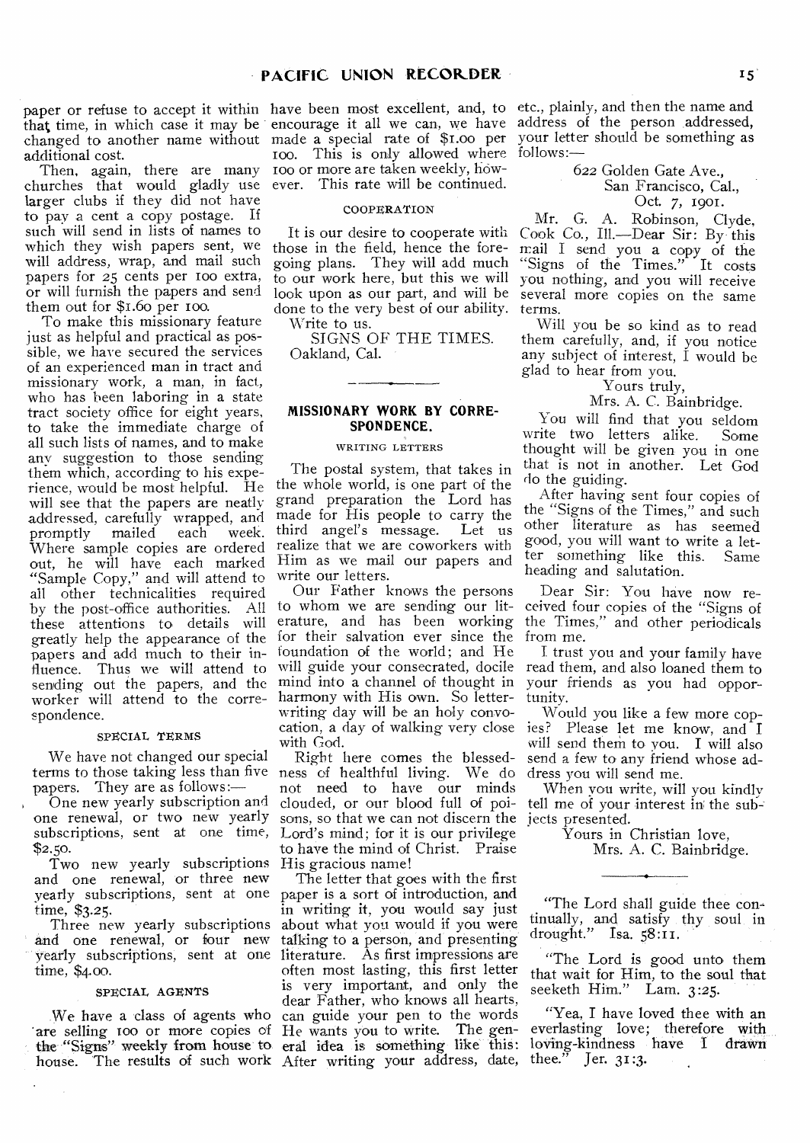additional cost.

churches that would gladly use ever. This rate will be continued. larger clubs if they did not have to pay a cent a copy postage. If such will send in lists of names to which they wish papers sent, we will address, wrap, and mail such papers for 25 cents per ioo extra, or will furnish the papers and send them out for \$1.60 per Ioo.

To make this missionary feature just as helpful and practical as possible, we have secured the services of an experienced man in tract and missionary work, a man, in fact, who has been laboring in a state tract society office for eight years, to take the immediate charge of all such lists of names, and to make any suggestion to those sending them which, according to his experience, would be most helpful. He will see that the papers are neatly addressed, carefully wrapped, and promptly mailed each week. Where sample copies are ordered out, he will have each marked "Sample Copy," and will attend to all other technicalities required by the post-office authorities. All these attentions to details will greatly help the appearance of the papers and add much to their influence. Thus we will attend to sending out the papers, and the worker will attend to the correspondence.

#### SPECIAL TERMS

We have not changed our special papers. They are as follows:—

, One new yearly subscription and one renewal, or two new yearly subscriptions, sent at one time, \$2.50.

Two new yearly subscriptions and one renewal, or three new yearly subscriptions, sent at one paper is a sort of introduction, and time, \$3.25.

Three new yearly subscriptions and one renewal, or four new time, \$4.00.

#### SPECIAL AGENTS

are selling too or more copies of the "Signs" weekly from house to

roo. This is only allowed where follows:-Then, again, there are many Too or more are taken weekly, how-

#### **COOPERATION**

It is our desire to cooperate with those in the field, hence the foregoing plans. They will add much to our work here, but this we will look upon as our part, and will be done to the very best of our ability.

Write to us.

SIGNS OF THE TIMES. Oakland, Cal.

# **MISSIONARY WORK BY CORRE-SPONDENCE.**

#### WRITING LETTERS

The postal system, that takes in the whole world, is one part of the grand preparation the Lord has made for His people to carry the<br>third angel's message. Let us third angel's message. realize that we are coworkers with Him as we mail our papers and write our letters.

Our Father knows the persons to whom we are sending our literature, and has been working for their salvation ever since the foundation of the world; and He will guide your consecrated, docile mind into a channel of thought in harmony with His own. So letterwriting day will he an holy convowith God.

terms to those taking less than five ness of healthful living. We do Right here comes the blessednot need to have our minds clouded, or our blood full of poisons, so that we can not discern the jects presented. Lord's mind; for it is our privilege to have the mind of Christ. Praise His gracious name!

yearly subscriptions; sent at one literature. As first impressions are We have a class of agents who can guide your pen to the words house. 'The results of such work After writing your address, date, The letter that goes with the first in writing it, you would say just about what you would if you were talking to a person, and presenting often most lasting, this first letter is very important, and only the dear Father, who knows all hearts, He wants you to write. The general idea is something like this:

paper or refuse to accept it within have been most excellent, and, to etc., plainly, and then the name and that time, in which case it may be encourage it all we can, we have address of the person addressed, changed to another name without made a special rate of \$1.00 per your letter should be something as

> 622 Golden Gate Ave., San Francisco, Cal., Oct. 7, 1901.

Mr. G. A. Robinson, Clyde, Cook Co., Ill.—Dear Sir: By- this mail I send you a copy of the "Signs of the Times." It costs you nothing, and you will receive several more copies on the same terms.

Will you be so kind as to read them carefully, and, if you notice any subject of interest, I would be glad to hear from you.

# Yours truly, Mrs. A. C. Bainbridge.

You will find that you seldom<br>rite two letters alike. Some write two letters alike. thought will be given you in one that is not in another. Let God do the guiding.

After having sent four copies of the "Signs of the Times," and such other literature as has seemed good, you will want to write a letter something like this. Same heading and salutation.

Dear Sir: You have now received four copies of the "Signs of the Times," and other periodicals from me.

I trust you and your family have read them, and also loaned them to your friends as you had opportunity.

cation, a day of walking very close ies? Please let me know, and I Would you like a few more copwill send them to you. I will also send a few to any friend whose address you will send me.

> When you write, will you kindly tell me of your interest in the sub

> > Yours in Christian love, Mrs. A. C. Bainbridge.

"The Lord shall guide thee continually, and satisfy thy soul in drought." Isa. 58:11.

"The Lord is good unto them that wait for Him, to the soul that seeketh Him." Lam. 3:25.

"Yea, I have loved thee with an everlasting love; therefore with loving-kindness have I drawn thee." Jer.  $31:3$ .